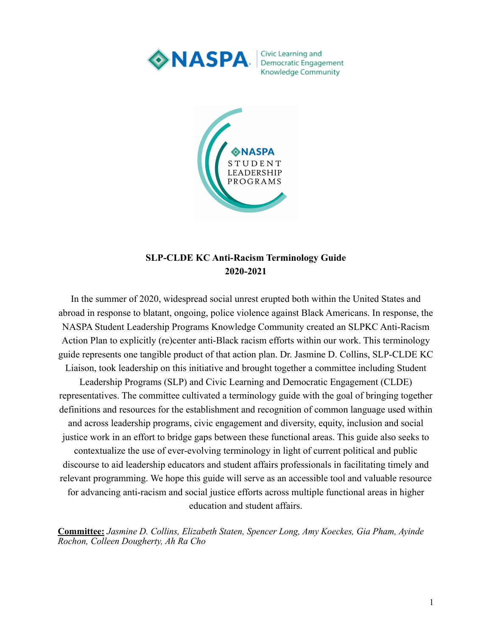

Civic Learning and Knowledge Community



## **SLP-CLDE KC Anti-Racism Terminology Guide 2020-2021**

In the summer of 2020, widespread social unrest erupted both within the United States and abroad in response to blatant, ongoing, police violence against Black Americans. In response, the NASPA Student Leadership Programs Knowledge Community created an SLPKC Anti-Racism Action Plan to explicitly (re)center anti-Black racism efforts within our work. This terminology guide represents one tangible product of that action plan. Dr. Jasmine D. Collins, SLP-CLDE KC Liaison, took leadership on this initiative and brought together a committee including Student Leadership Programs (SLP) and Civic Learning and Democratic Engagement (CLDE) representatives. The committee cultivated a terminology guide with the goal of bringing together definitions and resources for the establishment and recognition of common language used within and across leadership programs, civic engagement and diversity, equity, inclusion and social justice work in an effort to bridge gaps between these functional areas. This guide also seeks to contextualize the use of ever-evolving terminology in light of current political and public

discourse to aid leadership educators and student affairs professionals in facilitating timely and relevant programming. We hope this guide will serve as an accessible tool and valuable resource for advancing anti-racism and social justice efforts across multiple functional areas in higher education and student affairs.

**Committee:** *Jasmine D. Collins, Elizabeth Staten, Spencer Long, Amy Koeckes, Gia Pham, Ayinde Rochon, Colleen Dougherty, Ah Ra Cho*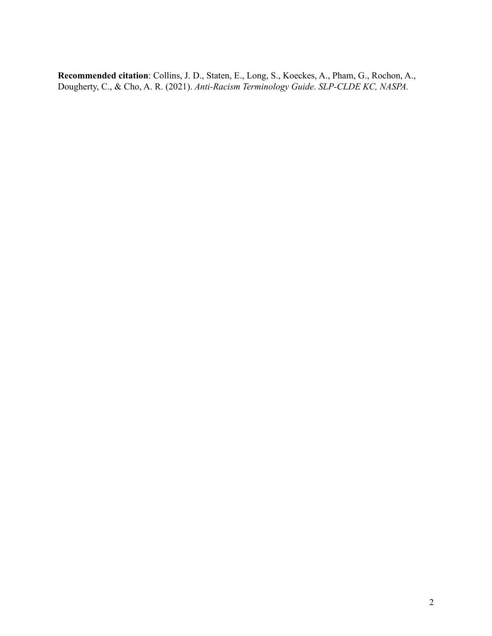**Recommended citation**: Collins, J. D., Staten, E., Long, S., Koeckes, A., Pham, G., Rochon, A., Dougherty, C., & Cho, A. R. (2021). *Anti-Racism Terminology Guide*. *SLP-CLDE KC, NASPA.*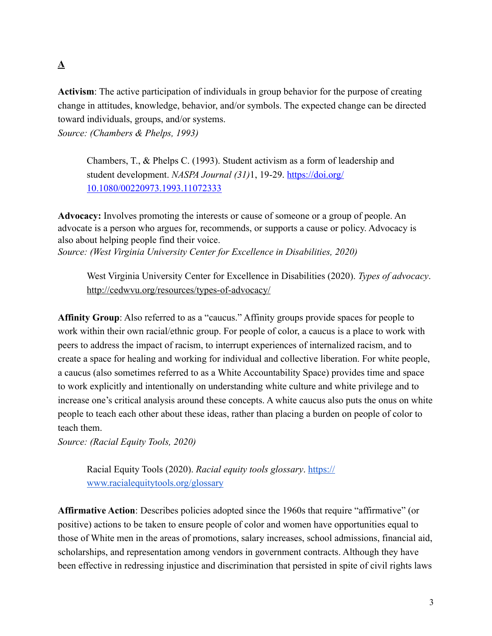## **A**

**Activism**: The active participation of individuals in group behavior for the purpose of creating change in attitudes, knowledge, behavior, and/or symbols. The expected change can be directed toward individuals, groups, and/or systems.

*Source: (Chambers & Phelps, 1993)*

Chambers, T., & Phelps C. (1993). Student activism as a form of leadership and student development. *NASPA Journal (31)*1, 19-29. [https://doi.org/](https://doi.org/10.1080/00220973.1993.11072333) [10.1080/00220973.1993.11072333](https://doi.org/10.1080/00220973.1993.11072333)

**Advocacy:** Involves promoting the interests or cause of someone or a group of people. An advocate is a person who argues for, recommends, or supports a cause or policy. Advocacy is also about helping people find their voice. *Source: (West Virginia University Center for Excellence in Disabilities, 2020)*

West Virginia University Center for Excellence in Disabilities (2020). *Types of advocacy*. <http://cedwvu.org/resources/types-of-advocacy/>

**Affinity Group**: Also referred to as a "caucus." Affinity groups provide spaces for people to work within their own racial/ethnic group. For people of color, a caucus is a place to work with peers to address the impact of racism, to interrupt experiences of internalized racism, and to create a space for healing and working for individual and collective liberation. For white people, a caucus (also sometimes referred to as a White Accountability Space) provides time and space to work explicitly and intentionally on understanding white culture and white privilege and to increase one's critical analysis around these concepts. A white caucus also puts the onus on white people to teach each other about these ideas, rather than placing a burden on people of color to teach them.

*Source: (Racial Equity Tools, 2020)*

Racial Equity Tools (2020). *Racial equity tools glossary*. [https://](https://www.racialequitytools.org/glossary) [www.racialequitytools.org/glossary](https://www.racialequitytools.org/glossary)

**Affirmative Action**: Describes policies adopted since the 1960s that require "affirmative" (or positive) actions to be taken to ensure people of color and women have opportunities equal to those of White men in the areas of promotions, salary increases, school admissions, financial aid, scholarships, and representation among vendors in government contracts. Although they have been effective in redressing injustice and discrimination that persisted in spite of civil rights laws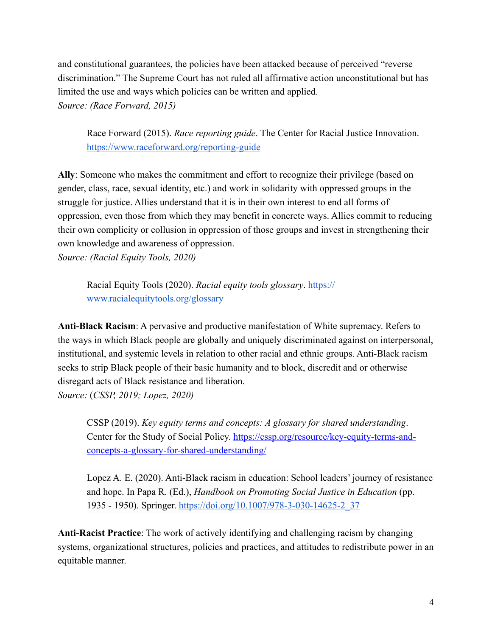and constitutional guarantees, the policies have been attacked because of perceived "reverse discrimination." The Supreme Court has not ruled all affirmative action unconstitutional but has limited the use and ways which policies can be written and applied. *Source: (Race Forward, 2015)*

Race Forward (2015). *Race reporting guide*. The Center for Racial Justice Innovation. <https://www.raceforward.org/reporting-guide>

**Ally**: Someone who makes the commitment and effort to recognize their privilege (based on gender, class, race, sexual identity, etc.) and work in solidarity with oppressed groups in the struggle for justice. Allies understand that it is in their own interest to end all forms of oppression, even those from which they may benefit in concrete ways. Allies commit to reducing their own complicity or collusion in oppression of those groups and invest in strengthening their own knowledge and awareness of oppression.

*Source: (Racial Equity Tools, 2020)*

Racial Equity Tools (2020). *Racial equity tools glossary*. [https://](https://www.racialequitytools.org/glossary) [www.racialequitytools.org/glossary](https://www.racialequitytools.org/glossary)

**Anti-Black Racism**: A pervasive and productive manifestation of White supremacy. Refers to the ways in which Black people are globally and uniquely discriminated against on interpersonal, institutional, and systemic levels in relation to other racial and ethnic groups. Anti-Black racism seeks to strip Black people of their basic humanity and to block, discredit and or otherwise disregard acts of Black resistance and liberation. *Source:* (*CSSP, 2019; Lopez, 2020)*

CSSP (2019). *Key equity terms and concepts: A glossary for shared understanding*. Center for the Study of Social Policy. [https://cssp.org/resource/key-equity-terms-and](https://cssp.org/resource/key-equity-terms-and-concepts-a-glossary-for-shared-understanding/)[concepts-a-glossary-for-shared-understanding/](https://cssp.org/resource/key-equity-terms-and-concepts-a-glossary-for-shared-understanding/)

Lopez A. E. (2020). Anti-Black racism in education: School leaders' journey of resistance and hope. In Papa R. (Ed.), *Handbook on Promoting Social Justice in Education* (pp. 1935 - 1950). Springer. [https://doi.org/10.1007/978-3-030-14625-2\\_37](https://doi.org/10.1007/978-3-030-14625-2_37)

**Anti-Racist Practice**: The work of actively identifying and challenging racism by changing systems, organizational structures, policies and practices, and attitudes to redistribute power in an equitable manner.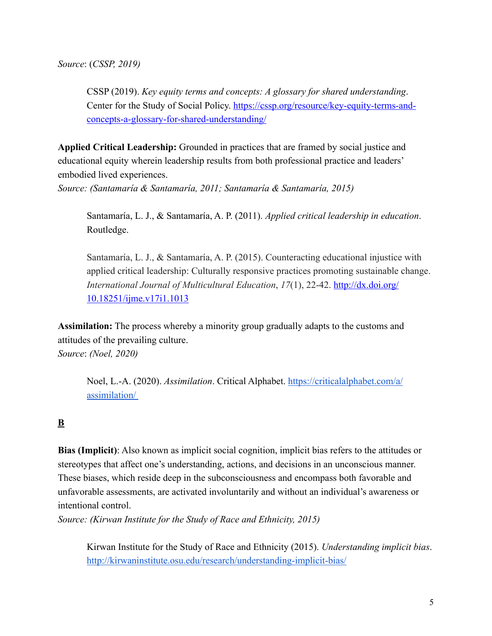CSSP (2019). *Key equity terms and concepts: A glossary for shared understanding*. Center for the Study of Social Policy. [https://cssp.org/resource/key-equity-terms-and](https://cssp.org/resource/key-equity-terms-and-concepts-a-glossary-for-shared-understanding/)[concepts-a-glossary-for-shared-understanding/](https://cssp.org/resource/key-equity-terms-and-concepts-a-glossary-for-shared-understanding/)

**Applied Critical Leadership:** Grounded in practices that are framed by social justice and educational equity wherein leadership results from both professional practice and leaders' embodied lived experiences.

*Source: (Santamaría & Santamaría, 2011; Santamaría & Santamaría, 2015)*

Santamaría, L. J., & Santamaría, A. P. (2011). *Applied critical leadership in education*. Routledge.

Santamaría, L. J., & Santamaría, A. P. (2015). Counteracting educational injustice with applied critical leadership: Culturally responsive practices promoting sustainable change. *International Journal of Multicultural Education*, *17*(1), 22-42. [http://dx.doi.org/](http://dx.doi.org/10.18251/ijme.v17i1.1013) [10.18251/ijme.v17i1.1013](http://dx.doi.org/10.18251/ijme.v17i1.1013)

**Assimilation:** The process whereby a minority group gradually adapts to the customs and attitudes of the prevailing culture. *Source*: *(Noel, 2020)*

Noel, L.-A. (2020). *Assimilation*. Critical Alphabet. [https://criticalalphabet.com/a/](https://criticalalphabet.com/a/assimilation/) [assimilation/](https://criticalalphabet.com/a/assimilation/) 

## **B**

**Bias (Implicit)**: Also known as implicit social cognition, implicit bias refers to the attitudes or stereotypes that affect one's understanding, actions, and decisions in an unconscious manner. These biases, which reside deep in the subconsciousness and encompass both favorable and unfavorable assessments, are activated involuntarily and without an individual's awareness or intentional control.

*Source: (Kirwan Institute for the Study of Race and Ethnicity, 2015)*

Kirwan Institute for the Study of Race and Ethnicity (2015). *Understanding implicit bias*. <http://kirwaninstitute.osu.edu/research/understanding-implicit-bias/>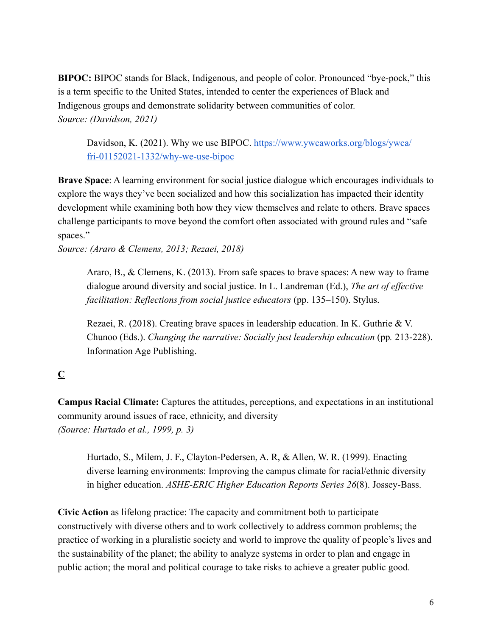**BIPOC:** BIPOC stands for Black, Indigenous, and people of color. Pronounced "bye-pock," this is a term specific to the United States, intended to center the experiences of Black and Indigenous groups and demonstrate solidarity between communities of color. *Source: (Davidson, 2021)*

Davidson, K. (2021). Why we use BIPOC. [https://www.ywcaworks.org/blogs/ywca/](https://www.ywcaworks.org/blogs/ywca/fri-01152021-1332/why-we-use-bipoc) [fri-01152021-1332/why-we-use-bipoc](https://www.ywcaworks.org/blogs/ywca/fri-01152021-1332/why-we-use-bipoc)

**Brave Space**: A learning environment for social justice dialogue which encourages individuals to explore the ways they've been socialized and how this socialization has impacted their identity development while examining both how they view themselves and relate to others. Brave spaces challenge participants to move beyond the comfort often associated with ground rules and "safe spaces."

*Source: (Araro & Clemens, 2013; Rezaei, 2018)*

Araro, B., & Clemens, K. (2013). From safe spaces to brave spaces: A new way to frame dialogue around diversity and social justice. In L. Landreman (Ed.), *The art of effective facilitation: Reflections from social justice educators* (pp. 135–150). Stylus.

Rezaei, R. (2018). Creating brave spaces in leadership education. In K. Guthrie & V. Chunoo (Eds.). *Changing the narrative: Socially just leadership education* (pp. 213-228). Information Age Publishing.

## **C**

**Campus Racial Climate:** Captures the attitudes, perceptions, and expectations in an institutional community around issues of race, ethnicity, and diversity *(Source: Hurtado et al., 1999, p. 3)*

Hurtado, S., Milem, J. F., Clayton-Pedersen, A. R, & Allen, W. R. (1999). Enacting diverse learning environments: Improving the campus climate for racial/ethnic diversity in higher education. *ASHE-ERIC Higher Education Reports Series 26*(8). Jossey-Bass.

**Civic Action** as lifelong practice: The capacity and commitment both to participate constructively with diverse others and to work collectively to address common problems; the practice of working in a pluralistic society and world to improve the quality of people's lives and the sustainability of the planet; the ability to analyze systems in order to plan and engage in public action; the moral and political courage to take risks to achieve a greater public good.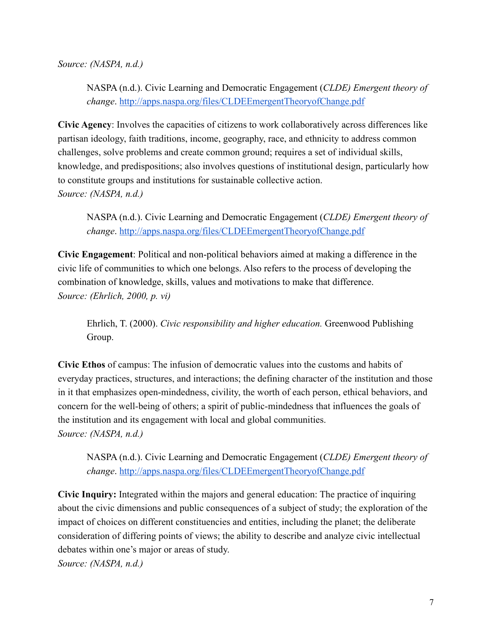*Source: (NASPA, n.d.)*

NASPA (n.d.). Civic Learning and Democratic Engagement (*CLDE) Emergent theory of change*. <http://apps.naspa.org/files/CLDEEmergentTheoryofChange.pdf>

**Civic Agency**: Involves the capacities of citizens to work collaboratively across differences like partisan ideology, faith traditions, income, geography, race, and ethnicity to address common challenges, solve problems and create common ground; requires a set of individual skills, knowledge, and predispositions; also involves questions of institutional design, particularly how to constitute groups and institutions for sustainable collective action. *Source: (NASPA, n.d.)*

NASPA (n.d.). Civic Learning and Democratic Engagement (*CLDE) Emergent theory of change*. <http://apps.naspa.org/files/CLDEEmergentTheoryofChange.pdf>

**Civic Engagement**: Political and non-political behaviors aimed at making a difference in the civic life of communities to which one belongs. Also refers to the process of developing the combination of knowledge, skills, values and motivations to make that difference. *Source: (Ehrlich, 2000, p. vi)*

Ehrlich, T. (2000). *Civic responsibility and higher education.* Greenwood Publishing Group.

**Civic Ethos** of campus: The infusion of democratic values into the customs and habits of everyday practices, structures, and interactions; the defining character of the institution and those in it that emphasizes open-mindedness, civility, the worth of each person, ethical behaviors, and concern for the well-being of others; a spirit of public-mindedness that influences the goals of the institution and its engagement with local and global communities. *Source: (NASPA, n.d.)*

NASPA (n.d.). Civic Learning and Democratic Engagement (*CLDE) Emergent theory of change*. <http://apps.naspa.org/files/CLDEEmergentTheoryofChange.pdf>

**Civic Inquiry:** Integrated within the majors and general education: The practice of inquiring about the civic dimensions and public consequences of a subject of study; the exploration of the impact of choices on different constituencies and entities, including the planet; the deliberate consideration of differing points of views; the ability to describe and analyze civic intellectual debates within one's major or areas of study.

*Source: (NASPA, n.d.)*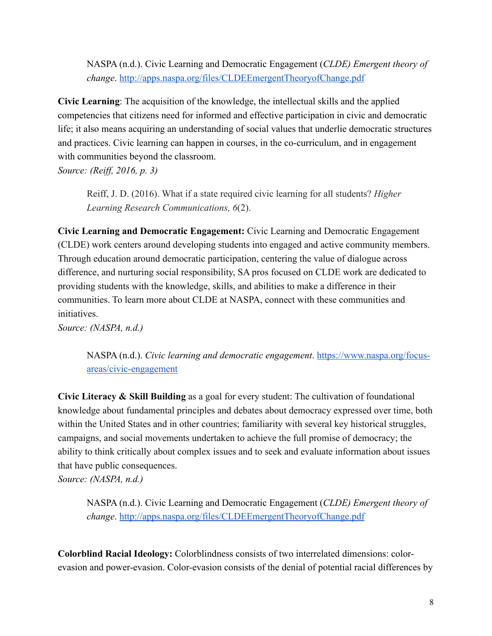NASPA (n.d.). Civic Learning and Democratic Engagement (*CLDE) Emergent theory of change*. <http://apps.naspa.org/files/CLDEEmergentTheoryofChange.pdf>

**Civic Learning**: The acquisition of the knowledge, the intellectual skills and the applied competencies that citizens need for informed and effective participation in civic and democratic life; it also means acquiring an understanding of social values that underlie democratic structures and practices. Civic learning can happen in courses, in the co-curriculum, and in engagement with communities beyond the classroom.

*Source: (Reiff, 2016, p. 3)*

Reiff, J. D. (2016). What if a state required civic learning for all students? *Higher Learning Research Communications, 6*(2).

**Civic Learning and Democratic Engagement:** Civic Learning and Democratic Engagement (CLDE) work centers around developing students into engaged and active community members. Through education around democratic participation, centering the value of dialogue across difference, and nurturing social responsibility, SA pros focused on CLDE work are dedicated to providing students with the knowledge, skills, and abilities to make a difference in their communities. To learn more about CLDE at NASPA, connect with these communities and initiatives.

*Source: (NASPA, n.d.)*

NASPA (n.d.). *Civic learning and democratic engagement*. [https://www.naspa.org/focus](https://www.naspa.org/focus-areas/civic-engagement)[areas/civic-engagement](https://www.naspa.org/focus-areas/civic-engagement)

**Civic Literacy & Skill Building** as a goal for every student: The cultivation of foundational knowledge about fundamental principles and debates about democracy expressed over time, both within the United States and in other countries; familiarity with several key historical struggles, campaigns, and social movements undertaken to achieve the full promise of democracy; the ability to think critically about complex issues and to seek and evaluate information about issues that have public consequences.

*Source: (NASPA, n.d.)*

NASPA (n.d.). Civic Learning and Democratic Engagement (*CLDE) Emergent theory of change*. <http://apps.naspa.org/files/CLDEEmergentTheoryofChange.pdf>

**Colorblind Racial Ideology:** Colorblindness consists of two interrelated dimensions: colorevasion and power-evasion. Color-evasion consists of the denial of potential racial differences by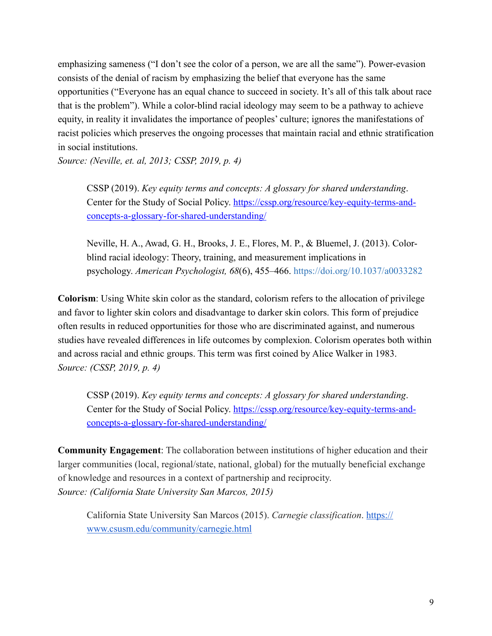emphasizing sameness ("I don't see the color of a person, we are all the same"). Power-evasion consists of the denial of racism by emphasizing the belief that everyone has the same opportunities ("Everyone has an equal chance to succeed in society. It's all of this talk about race that is the problem"). While a color-blind racial ideology may seem to be a pathway to achieve equity, in reality it invalidates the importance of peoples' culture; ignores the manifestations of racist policies which preserves the ongoing processes that maintain racial and ethnic stratification in social institutions.

*Source: (Neville, et. al, 2013; CSSP, 2019, p. 4)*

CSSP (2019). *Key equity terms and concepts: A glossary for shared understanding*. Center for the Study of Social Policy. [https://cssp.org/resource/key-equity-terms-and](https://cssp.org/resource/key-equity-terms-and-concepts-a-glossary-for-shared-understanding/)[concepts-a-glossary-for-shared-understanding/](https://cssp.org/resource/key-equity-terms-and-concepts-a-glossary-for-shared-understanding/)

Neville, H. A., Awad, G. H., Brooks, J. E., Flores, M. P., & Bluemel, J. (2013). Colorblind racial ideology: Theory, training, and measurement implications in psychology. *American Psychologist, 68*(6), 455–466. [https://doi.org/10.1037/a0033282](https://psycnet.apa.org/doi/10.1037/a0033282)

**Colorism**: Using White skin color as the standard, colorism refers to the allocation of privilege and favor to lighter skin colors and disadvantage to darker skin colors. This form of prejudice often results in reduced opportunities for those who are discriminated against, and numerous studies have revealed differences in life outcomes by complexion. Colorism operates both within and across racial and ethnic groups. This term was first coined by Alice Walker in 1983. *Source: (CSSP, 2019, p. 4)*

CSSP (2019). *Key equity terms and concepts: A glossary for shared understanding*. Center for the Study of Social Policy. [https://cssp.org/resource/key-equity-terms-and](https://cssp.org/resource/key-equity-terms-and-concepts-a-glossary-for-shared-understanding/)[concepts-a-glossary-for-shared-understanding/](https://cssp.org/resource/key-equity-terms-and-concepts-a-glossary-for-shared-understanding/)

**Community Engagement**: The collaboration between institutions of higher education and their larger communities (local, regional/state, national, global) for the mutually beneficial exchange of knowledge and resources in a context of partnership and reciprocity. *Source: (California State University San Marcos, 2015)* 

California State University San Marcos (2015). *Carnegie classification*. [https://](https://www.csusm.edu/community/carnegie.html) [www.csusm.edu/community/carnegie.html](https://www.csusm.edu/community/carnegie.html)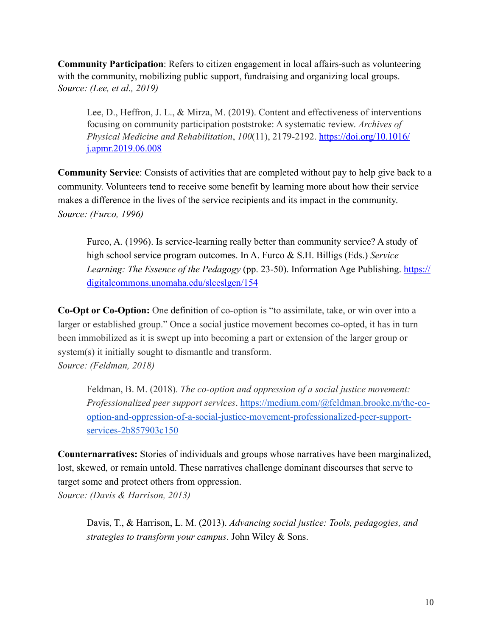**Community Participation**: Refers to citizen engagement in local affairs-such as volunteering with the community, mobilizing public support, fundraising and organizing local groups. *Source: (Lee, et al., 2019)*

Lee, D., Heffron, J. L., & Mirza, M. (2019). Content and effectiveness of interventions focusing on community participation poststroke: A systematic review. *Archives of Physical Medicine and Rehabilitation*, *100*(11), 2179-2192. [https://doi.org/10.1016/](https://doi.org/10.1016/j.apmr.2019.06.008) [j.apmr.2019.06.008](https://doi.org/10.1016/j.apmr.2019.06.008)

**Community Service**: Consists of activities that are completed without pay to help give back to a community. Volunteers tend to receive some benefit by learning more about how their service makes a difference in the lives of the service recipients and its impact in the community. *Source: (Furco, 1996)*

Furco, A. (1996). Is service-learning really better than community service? A study of high school service program outcomes. In A. Furco & S.H. Billigs (Eds.) *Service Learning: The Essence of the Pedagogy* (pp. 23-50). Information Age Publishing. [https://](https://digitalcommons.unomaha.edu/slceslgen/154) [digitalcommons.unomaha.edu/slceslgen/154](https://digitalcommons.unomaha.edu/slceslgen/154)

**Co-Opt or Co-Option:** One [definition](http://www.dictionary.com/browse/cooption) of co-option is "to assimilate, take, or win over into a larger or established group." Once a social justice movement becomes co-opted, it has in turn been immobilized as it is swept up into becoming a part or extension of the larger group or system(s) it initially sought to dismantle and transform. *Source: (Feldman, 2018)* 

Feldman, B. M. (2018). *The co-option and oppression of a social justice movement: Professionalized peer support services*. [https://medium.com/@feldman.brooke.m/the-co](https://medium.com/@feldman.brooke.m/the-co-option-and-oppression-of-a-social-justice-movement-professionalized-peer-support-services-2b857903c150)[option-and-oppression-of-a-social-justice-movement-professionalized-peer-support](https://medium.com/@feldman.brooke.m/the-co-option-and-oppression-of-a-social-justice-movement-professionalized-peer-support-services-2b857903c150)[services-2b857903c150](https://medium.com/@feldman.brooke.m/the-co-option-and-oppression-of-a-social-justice-movement-professionalized-peer-support-services-2b857903c150) 

**Counternarratives:** Stories of individuals and groups whose narratives have been marginalized, lost, skewed, or remain untold. These narratives challenge dominant discourses that serve to target some and protect others from oppression. *Source: (Davis & Harrison, 2013)* 

Davis, T., & Harrison, L. M. (2013). *Advancing social justice: Tools, pedagogies, and strategies to transform your campus*. John Wiley & Sons.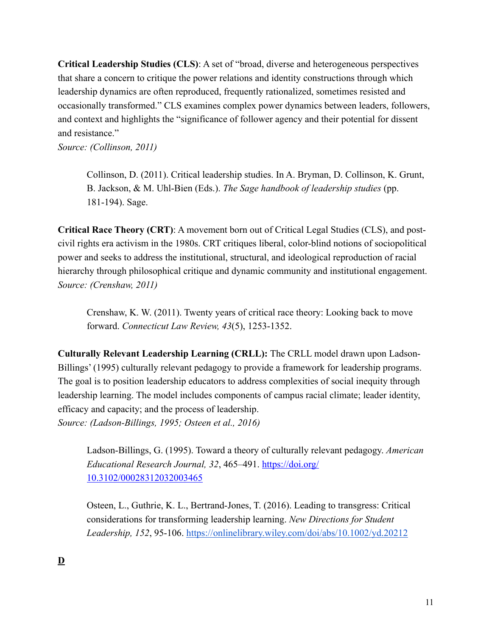**Critical Leadership Studies (CLS)**: A set of "broad, diverse and heterogeneous perspectives that share a concern to critique the power relations and identity constructions through which leadership dynamics are often reproduced, frequently rationalized, sometimes resisted and occasionally transformed." CLS examines complex power dynamics between leaders, followers, and context and highlights the "significance of follower agency and their potential for dissent and resistance."

*Source: (Collinson, 2011)*

Collinson, D. (2011). Critical leadership studies. In A. Bryman, D. Collinson, K. Grunt, B. Jackson, & M. Uhl-Bien (Eds.). *The Sage handbook of leadership studies* (pp. 181-194). Sage.

**Critical Race Theory (CRT)**: A movement born out of Critical Legal Studies (CLS), and postcivil rights era activism in the 1980s. CRT critiques liberal, color-blind notions of sociopolitical power and seeks to address the institutional, structural, and ideological reproduction of racial hierarchy through philosophical critique and dynamic community and institutional engagement. *Source: (Crenshaw, 2011)* 

Crenshaw, K. W. (2011). Twenty years of critical race theory: Looking back to move forward. *Connecticut Law Review, 43*(5), 1253-1352.

**Culturally Relevant Leadership Learning (CRLL):** The CRLL model drawn upon Ladson-Billings' (1995) culturally relevant pedagogy to provide a framework for leadership programs. The goal is to position leadership educators to address complexities of social inequity through leadership learning. The model includes components of campus racial climate; leader identity, efficacy and capacity; and the process of leadership. *Source: (Ladson-Billings, 1995; Osteen et al., 2016)*

Ladson-Billings, G. (1995). Toward a theory of culturally relevant pedagogy. *American Educational Research Journal, 32*, 465–491. [https://doi.org/](https://doi.org/10.3102/00028312032003465) [10.3102/00028312032003465](https://doi.org/10.3102/00028312032003465)

Osteen, L., Guthrie, K. L., Bertrand-Jones, T. (2016). Leading to transgress: Critical considerations for transforming leadership learning. *New Directions for Student Leadership, 152*, 95-106. <https://onlinelibrary.wiley.com/doi/abs/10.1002/yd.20212>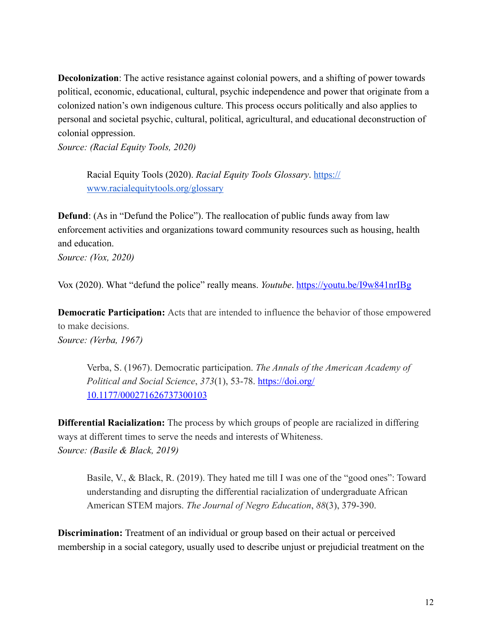**Decolonization**: The active resistance against colonial powers, and a shifting of power towards political, economic, educational, cultural, psychic independence and power that originate from a colonized nation's own indigenous culture. This process occurs politically and also applies to personal and societal psychic, cultural, political, agricultural, and educational deconstruction of colonial oppression.

*Source: (Racial Equity Tools, 2020)*

Racial Equity Tools (2020). *Racial Equity Tools Glossary*. [https://](https://www.racialequitytools.org/glossary) [www.racialequitytools.org/glossary](https://www.racialequitytools.org/glossary)

**Defund**: (As in "Defund the Police"). The reallocation of public funds away from law enforcement activities and organizations toward community resources such as housing, health and education.

*Source: (Vox, 2020)* 

Vox (2020). What "defund the police" really means. *Youtube*. [https://youtu.be/I9w841nrIBg](https://youtu.be/I9w841nrIBgvoter-suppression)

**Democratic Participation:** Acts that are intended to influence the behavior of those empowered to make decisions.

*Source: (Verba, 1967)* 

Verba, S. (1967). Democratic participation. *The Annals of the American Academy of Political and Social Science*, *373*(1), 53-78. [https://doi.org/](https://doi.org/10.1177/000271626737300103) [10.1177/000271626737300103](https://doi.org/10.1177/000271626737300103)

**Differential Racialization:** The process by which groups of people are racialized in differing ways at different times to serve the needs and interests of Whiteness. *Source: (Basile & Black, 2019)* 

Basile, V., & Black, R. (2019). They hated me till I was one of the "good ones": Toward understanding and disrupting the differential racialization of undergraduate African American STEM majors. *The Journal of Negro Education*, *88*(3), 379-390.

**Discrimination:** Treatment of an individual or group based on their actual or perceived membership in a social category, usually used to describe unjust or prejudicial treatment on the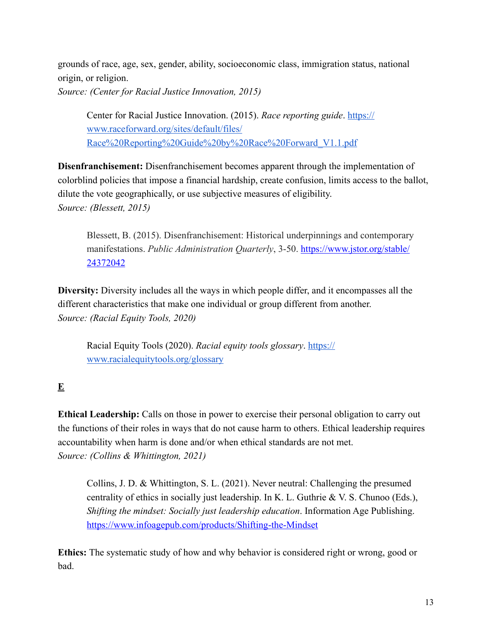grounds of race, age, sex, gender, ability, socioeconomic class, immigration status, national origin, or religion. *Source: (Center for Racial Justice Innovation, 2015)*

Center for Racial Justice Innovation. (2015). *Race reporting guide*. [https://](https://www.raceforward.org/sites/default/files/Race%2520Reporting%2520Guide%2520by%2520Race%2520Forward_V1.1.pdf) [www.raceforward.org/sites/default/files/](https://www.raceforward.org/sites/default/files/Race%2520Reporting%2520Guide%2520by%2520Race%2520Forward_V1.1.pdf) [Race%20Reporting%20Guide%20by%20Race%20Forward\\_V1.1.pdf](https://www.raceforward.org/sites/default/files/Race%2520Reporting%2520Guide%2520by%2520Race%2520Forward_V1.1.pdf)

**Disenfranchisement:** Disenfranchisement becomes apparent through the implementation of colorblind policies that impose a financial hardship, create confusion, limits access to the ballot, dilute the vote geographically, or use subjective measures of eligibility. *Source: (Blessett, 2015)* 

Blessett, B. (2015). Disenfranchisement: Historical underpinnings and contemporary manifestations. *Public Administration Quarterly*, 3-50. [https://www.jstor.org/stable/](https://www.jstor.org/stable/24372042) [24372042](https://www.jstor.org/stable/24372042)

**Diversity:** Diversity includes all the ways in which people differ, and it encompasses all the different characteristics that make one individual or group different from another. *Source: (Racial Equity Tools, 2020)*

Racial Equity Tools (2020). *Racial equity tools glossary*. [https://](https://www.racialequitytools.org/glossary) [www.racialequitytools.org/glossary](https://www.racialequitytools.org/glossary)

# **E**

**Ethical Leadership:** Calls on those in power to exercise their personal obligation to carry out the functions of their roles in ways that do not cause harm to others. Ethical leadership requires accountability when harm is done and/or when ethical standards are not met. *Source: (Collins & Whittington, 2021)*

Collins, J. D. & Whittington, S. L. (2021). Never neutral: Challenging the presumed centrality of ethics in socially just leadership. In K. L. Guthrie & V. S. Chunoo (Eds.), *Shifting the mindset: Socially just leadership education*. Information Age Publishing. <https://www.infoagepub.com/products/Shifting-the-Mindset>

**Ethics:** The systematic study of how and why behavior is considered right or wrong, good or bad.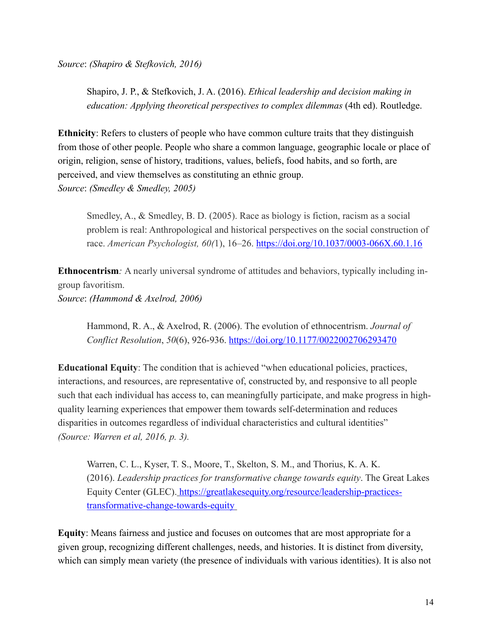*Source*: *(Shapiro & Stefkovich, 2016)*

Shapiro, J. P., & Stefkovich, J. A. (2016). *Ethical leadership and decision making in education: Applying theoretical perspectives to complex dilemmas* (4th ed). Routledge.

**Ethnicity**: Refers to clusters of people who have common culture traits that they distinguish from those of other people. People who share a common language, geographic locale or place of origin, religion, sense of history, traditions, values, beliefs, food habits, and so forth, are perceived, and view themselves as constituting an ethnic group. *Source*: *(Smedley & Smedley, 2005)*

Smedley, A., & Smedley, B. D. (2005). Race as biology is fiction, racism as a social problem is real: Anthropological and historical perspectives on the social construction of race. *American Psychologist, 60(*1), 16–26. <https://doi.org/10.1037/0003-066X.60.1.16>

**Ethnocentrism***:* A nearly universal syndrome of attitudes and behaviors, typically including ingroup favoritism. *Source*: *(Hammond & Axelrod, 2006)*

Hammond, R. A., & Axelrod, R. (2006). The evolution of ethnocentrism. *Journal of* 

*Conflict Resolution*, *50*(6), 926-936. <https://doi.org/10.1177/0022002706293470>

**Educational Equity**: The condition that is achieved "when educational policies, practices, interactions, and resources, are representative of, constructed by, and responsive to all people such that each individual has access to, can meaningfully participate, and make progress in highquality learning experiences that empower them towards self-determination and reduces disparities in outcomes regardless of individual characteristics and cultural identities" *(Source: Warren et al, 2016, p. 3).* 

Warren, C. L., Kyser, T. S., Moore, T., Skelton, S. M., and Thorius, K. A. K. (2016). *Leadership practices for transformative change towards equity*. The Great Lakes Equity Center (GLEC). [https://greatlakesequity.org/resource/leadership-practices](https://greatlakesequity.org/resource/leadership-practices-transformative-change-towards-equity)[transformative-change-towards-equity](https://greatlakesequity.org/resource/leadership-practices-transformative-change-towards-equity)

**Equity**: Means fairness and justice and focuses on outcomes that are most appropriate for a given group, recognizing different challenges, needs, and histories. It is distinct from diversity, which can simply mean variety (the presence of individuals with various identities). It is also not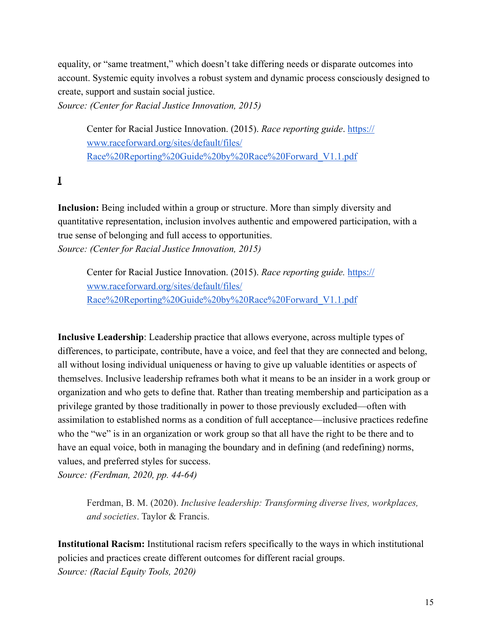equality, or "same treatment," which doesn't take differing needs or disparate outcomes into account. Systemic equity involves a robust system and dynamic process consciously designed to create, support and sustain social justice.

*Source: (Center for Racial Justice Innovation, 2015)*

Center for Racial Justice Innovation. (2015). *Race reporting guide*. [https://](https://www.raceforward.org/sites/default/files/Race%2520Reporting%2520Guide%2520by%2520Race%2520Forward_V1.1.pdf) [www.raceforward.org/sites/default/files/](https://www.raceforward.org/sites/default/files/Race%2520Reporting%2520Guide%2520by%2520Race%2520Forward_V1.1.pdf) [Race%20Reporting%20Guide%20by%20Race%20Forward\\_V1.1.pdf](https://www.raceforward.org/sites/default/files/Race%2520Reporting%2520Guide%2520by%2520Race%2520Forward_V1.1.pdf)

**I**

**Inclusion:** Being included within a group or structure. More than simply diversity and quantitative representation, inclusion involves authentic and empowered participation, with a true sense of belonging and full access to opportunities. *Source: (Center for Racial Justice Innovation, 2015)*

Center for Racial Justice Innovation. (2015). *Race reporting guide.* [https://](https://www.raceforward.org/sites/default/files/Race%2520Reporting%2520Guide%2520by%2520Race%2520Forward_V1.1.pdf) [www.raceforward.org/sites/default/files/](https://www.raceforward.org/sites/default/files/Race%2520Reporting%2520Guide%2520by%2520Race%2520Forward_V1.1.pdf) [Race%20Reporting%20Guide%20by%20Race%20Forward\\_V1.1.pdf](https://www.raceforward.org/sites/default/files/Race%2520Reporting%2520Guide%2520by%2520Race%2520Forward_V1.1.pdf)

**Inclusive Leadership**: Leadership practice that allows everyone, across multiple types of differences, to participate, contribute, have a voice, and feel that they are connected and belong, all without losing individual uniqueness or having to give up valuable identities or aspects of themselves. Inclusive leadership reframes both what it means to be an insider in a work group or organization and who gets to define that. Rather than treating membership and participation as a privilege granted by those traditionally in power to those previously excluded—often with assimilation to established norms as a condition of full acceptance—inclusive practices redefine who the "we" is in an organization or work group so that all have the right to be there and to have an equal voice, both in managing the boundary and in defining (and redefining) norms, values, and preferred styles for success. *Source: (Ferdman, 2020, pp. 44-64)*

Ferdman, B. M. (2020). *Inclusive leadership: Transforming diverse lives, workplaces, and societies*. Taylor & Francis.

**Institutional Racism:** Institutional racism refers specifically to the ways in which institutional policies and practices create different outcomes for different racial groups. *Source: (Racial Equity Tools, 2020)*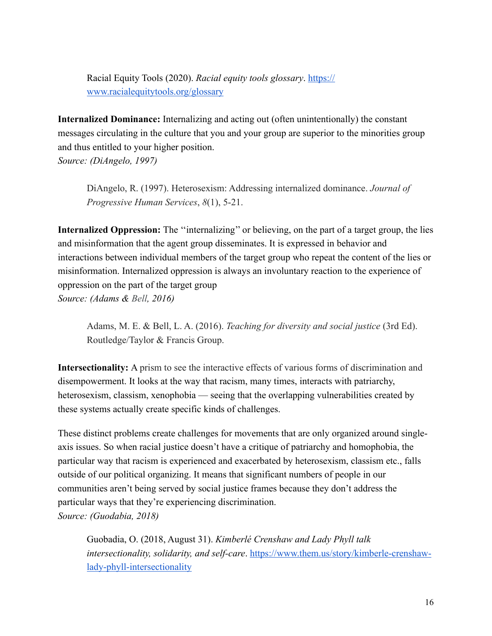Racial Equity Tools (2020). *Racial equity tools glossary*. [https://](https://www.racialequitytools.org/glossary) [www.racialequitytools.org/glossary](https://www.racialequitytools.org/glossary)

**Internalized Dominance:** Internalizing and acting out (often unintentionally) the constant messages circulating in the culture that you and your group are superior to the minorities group and thus entitled to your higher position. *Source: (DiAngelo, 1997)*

DiAngelo, R. (1997). Heterosexism: Addressing internalized dominance. *Journal of Progressive Human Services*, *8*(1), 5-21.

**Internalized Oppression:** The ''internalizing'' or believing, on the part of a target group, the lies and misinformation that the agent group disseminates. It is expressed in behavior and interactions between individual members of the target group who repeat the content of the lies or misinformation. Internalized oppression is always an involuntary reaction to the experience of oppression on the part of the target group *Source: (Adams & Bell, 2016)*

Adams, M. E. & Bell, L. A. (2016). *Teaching for diversity and social justice* (3rd Ed). Routledge/Taylor & Francis Group.

**Intersectionality:** A prism to see the interactive effects of various forms of discrimination and disempowerment. It looks at the way that racism, many times, interacts with patriarchy, heterosexism, classism, xenophobia — seeing that the overlapping vulnerabilities created by these systems actually create specific kinds of challenges.

These distinct problems create challenges for movements that are only organized around singleaxis issues. So when racial justice doesn't have a critique of patriarchy and homophobia, the particular way that racism is experienced and exacerbated by heterosexism, classism etc., falls outside of our political organizing. It means that significant numbers of people in our communities aren't being served by social justice frames because they don't address the particular ways that they're experiencing discrimination. *Source: (Guodabia, 2018)* 

Guobadia, O. (2018, August 31). *Kimberlé Crenshaw and Lady Phyll talk intersectionality, solidarity, and self-care*. [https://www.them.us/story/kimberle-crenshaw](https://www.them.us/story/kimberle-crenshaw-lady-phyll-intersectionality)[lady-phyll-intersectionality](https://www.them.us/story/kimberle-crenshaw-lady-phyll-intersectionality)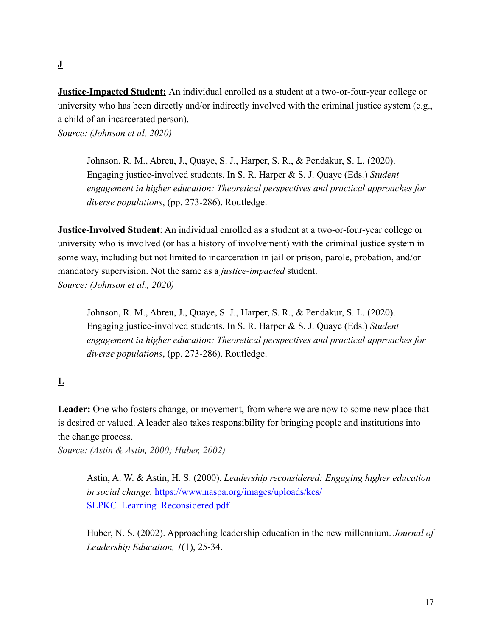## **J**

**Justice-Impacted Student:** An individual enrolled as a student at a two-or-four-year college or university who has been directly and/or indirectly involved with the criminal justice system (e.g., a child of an incarcerated person). *Source: (Johnson et al, 2020)*

Johnson, R. M., Abreu, J., Quaye, S. J., Harper, S. R., & Pendakur, S. L. (2020). Engaging justice-involved students. In S. R. Harper & S. J. Quaye (Eds.) *Student engagement in higher education: Theoretical perspectives and practical approaches for diverse populations*, (pp. 273-286). Routledge.

**Justice-Involved Student**: An individual enrolled as a student at a two-or-four-year college or university who is involved (or has a history of involvement) with the criminal justice system in some way, including but not limited to incarceration in jail or prison, parole, probation, and/or mandatory supervision. Not the same as a *justice-impacted* student. *Source: (Johnson et al., 2020)*

Johnson, R. M., Abreu, J., Quaye, S. J., Harper, S. R., & Pendakur, S. L. (2020). Engaging justice-involved students. In S. R. Harper & S. J. Quaye (Eds.) *Student engagement in higher education: Theoretical perspectives and practical approaches for diverse populations*, (pp. 273-286). Routledge.

# **L**

Leader: One who fosters change, or movement, from where we are now to some new place that is desired or valued. A leader also takes responsibility for bringing people and institutions into the change process.

*Source: (Astin & Astin, 2000; Huber, 2002)*

Astin, A. W. & Astin, H. S. (2000). *Leadership reconsidered: Engaging higher education in social change.* [https://www.naspa.org/images/uploads/kcs/](https://www.naspa.org/images/uploads/kcs/SLPKC_Learning_Reconsidered.pdf) [SLPKC\\_Learning\\_Reconsidered.pdf](https://www.naspa.org/images/uploads/kcs/SLPKC_Learning_Reconsidered.pdf)

Huber, N. S. (2002). Approaching leadership education in the new millennium. *Journal of Leadership Education, 1*(1), 25-34.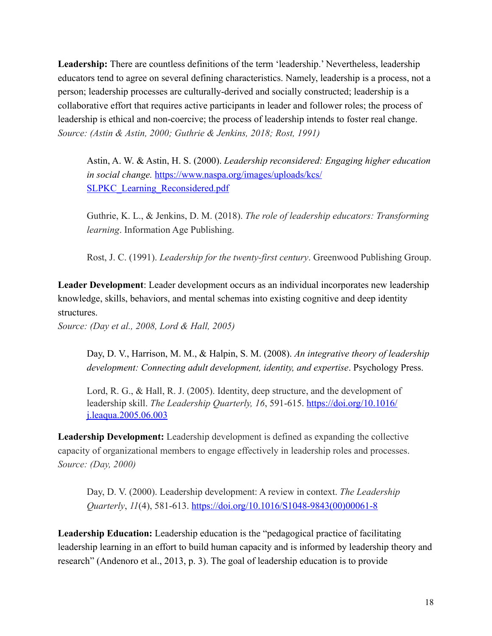Leadership: There are countless definitions of the term 'leadership.' Nevertheless, leadership educators tend to agree on several defining characteristics. Namely, leadership is a process, not a person; leadership processes are culturally-derived and socially constructed; leadership is a collaborative effort that requires active participants in leader and follower roles; the process of leadership is ethical and non-coercive; the process of leadership intends to foster real change. *Source: (Astin & Astin, 2000; Guthrie & Jenkins, 2018; Rost, 1991)*

Astin, A. W. & Astin, H. S. (2000). *Leadership reconsidered: Engaging higher education in social change.* [https://www.naspa.org/images/uploads/kcs/](https://www.naspa.org/images/uploads/kcs/SLPKC_Learning_Reconsidered.pdf) [SLPKC\\_Learning\\_Reconsidered.pdf](https://www.naspa.org/images/uploads/kcs/SLPKC_Learning_Reconsidered.pdf)

Guthrie, K. L., & Jenkins, D. M. (2018). *The role of leadership educators: Transforming learning*. Information Age Publishing.

Rost, J. C. (1991). *Leadership for the twenty-first century*. Greenwood Publishing Group.

**Leader Development**: Leader development occurs as an individual incorporates new leadership knowledge, skills, behaviors, and mental schemas into existing cognitive and deep identity structures.

*Source: (Day et al., 2008, Lord & Hall, 2005)*

Day, D. V., Harrison, M. M., & Halpin, S. M. (2008). *An integrative theory of leadership development: Connecting adult development, identity, and expertise*. Psychology Press.

Lord, R. G., & Hall, R. J. (2005). Identity, deep structure, and the development of leadership skill. *The Leadership Quarterly, 16, 591-615*. [https://doi.org/10.1016/](https://doi.org/10.1016/j.leaqua.2005.06.003) [j.leaqua.2005.06.003](https://doi.org/10.1016/j.leaqua.2005.06.003)

**Leadership Development:** Leadership development is defined as expanding the collective capacity of organizational members to engage effectively in leadership roles and processes. *Source: (Day, 2000)*

Day, D. V. (2000). Leadership development: A review in context. *The Leadership Quarterly*, *11*(4), 581-613. [https://doi.org/10.1016/S1048-9843\(00\)00061-8](https://doi.org/10.1016/S1048-9843(00)00061-8)

**Leadership Education:** Leadership education is the "pedagogical practice of facilitating leadership learning in an effort to build human capacity and is informed by leadership theory and research" (Andenoro et al., 2013, p. 3). The goal of leadership education is to provide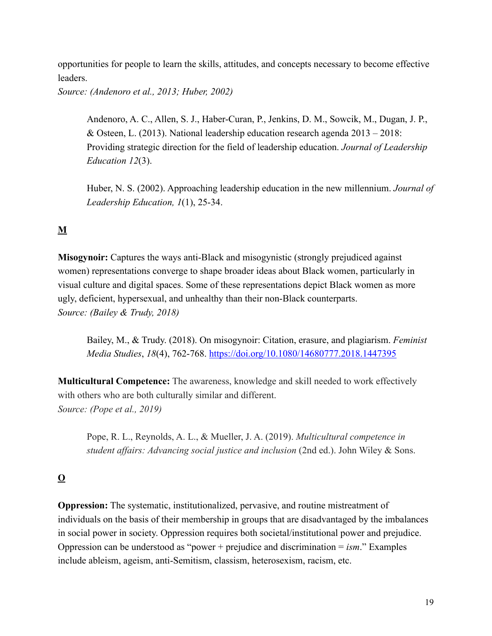opportunities for people to learn the skills, attitudes, and concepts necessary to become effective leaders.

*Source: (Andenoro et al., 2013; Huber, 2002)* 

Andenoro, A. C., Allen, S. J., Haber-Curan, P., Jenkins, D. M., Sowcik, M., Dugan, J. P., & Osteen, L. (2013). National leadership education research agenda  $2013 - 2018$ : Providing strategic direction for the field of leadership education. *Journal of Leadership Education 12*(3).

Huber, N. S. (2002). Approaching leadership education in the new millennium. *Journal of Leadership Education, 1*(1), 25-34.

### **M**

**Misogynoir:** Captures the ways anti-Black and misogynistic (strongly prejudiced against women) representations converge to shape broader ideas about Black women, particularly in visual culture and digital spaces. Some of these representations depict Black women as more ugly, deficient, hypersexual, and unhealthy than their non-Black counterparts. *Source: (Bailey & Trudy, 2018)*

Bailey, M., & Trudy. (2018). On misogynoir: Citation, erasure, and plagiarism. *Feminist Media Studies*, *18*(4), 762-768. <https://doi.org/10.1080/14680777.2018.1447395>

**Multicultural Competence:** The awareness, knowledge and skill needed to work effectively with others who are both culturally similar and different. *Source: (Pope et al., 2019)*

Pope, R. L., Reynolds, A. L., & Mueller, J. A. (2019). *Multicultural competence in student affairs: Advancing social justice and inclusion* (2nd ed.). John Wiley & Sons.

## **O**

**Oppression:** The systematic, institutionalized, pervasive, and routine mistreatment of individuals on the basis of their membership in groups that are disadvantaged by the imbalances in social power in society. Oppression requires both societal/institutional power and prejudice. Oppression can be understood as "power + prejudice and discrimination = *ism*." Examples include ableism, ageism, anti-Semitism, classism, heterosexism, racism, etc.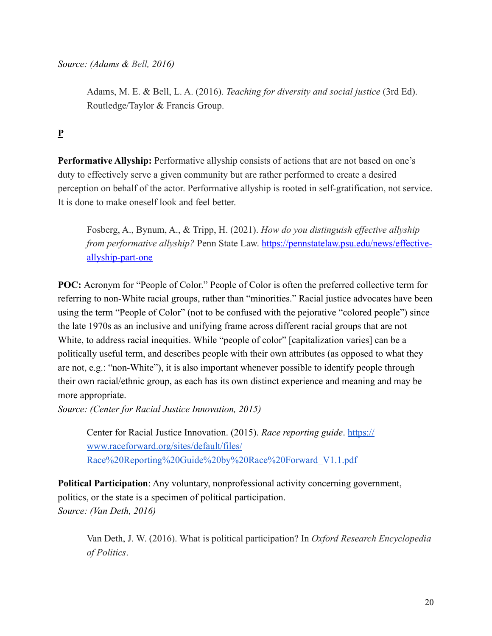*Source: (Adams & Bell, 2016)*

Adams, M. E. & Bell, L. A. (2016). *Teaching for diversity and social justice* (3rd Ed). Routledge/Taylor & Francis Group.

# **P**

**Performative Allyship:** Performative allyship consists of actions that are not based on one's duty to effectively serve a given community but are rather performed to create a desired perception on behalf of the actor. Performative allyship is rooted in self-gratification, not service. It is done to make oneself look and feel better.

Fosberg, A., Bynum, A., & Tripp, H. (2021). *How do you distinguish effective allyship from performative allyship?* Penn State Law. [https://pennstatelaw.psu.edu/news/effective](https://pennstatelaw.psu.edu/news/effective-allyship-part-one)[allyship-part-one](https://pennstatelaw.psu.edu/news/effective-allyship-part-one)

**POC:** Acronym for "People of Color." People of Color is often the preferred collective term for referring to non-White racial groups, rather than "minorities." Racial justice advocates have been using the term "People of Color" (not to be confused with the pejorative "colored people") since the late 1970s as an inclusive and unifying frame across different racial groups that are not White, to address racial inequities. While "people of color" [capitalization varies] can be a politically useful term, and describes people with their own attributes (as opposed to what they are not, e.g.: "non-White"), it is also important whenever possible to identify people through their own racial/ethnic group, as each has its own distinct experience and meaning and may be more appropriate.

*Source: (Center for Racial Justice Innovation, 2015)*

Center for Racial Justice Innovation. (2015). *Race reporting guide*. [https://](https://www.raceforward.org/sites/default/files/Race%2520Reporting%2520Guide%2520by%2520Race%2520Forward_V1.1.pdf) [www.raceforward.org/sites/default/files/](https://www.raceforward.org/sites/default/files/Race%2520Reporting%2520Guide%2520by%2520Race%2520Forward_V1.1.pdf) [Race%20Reporting%20Guide%20by%20Race%20Forward\\_V1.1.pdf](https://www.raceforward.org/sites/default/files/Race%2520Reporting%2520Guide%2520by%2520Race%2520Forward_V1.1.pdf)

**Political Participation**: Any voluntary, nonprofessional activity concerning government, politics, or the state is a specimen of political participation. *Source: (Van Deth, 2016)*

Van Deth, J. W. (2016). What is political participation? In *Oxford Research Encyclopedia of Politics*.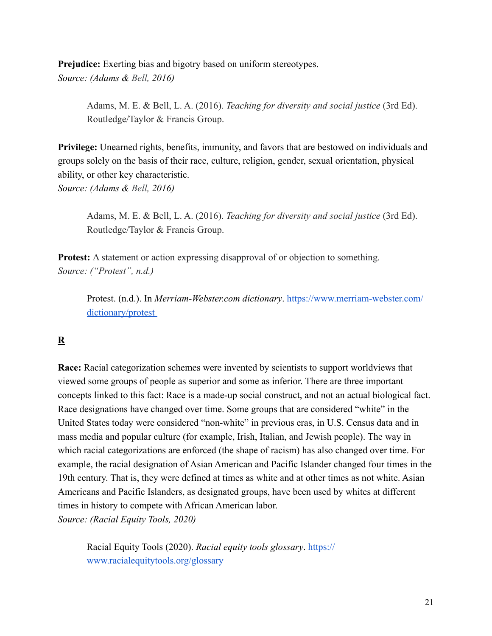**Prejudice:** Exerting bias and bigotry based on uniform stereotypes. *Source: (Adams & Bell, 2016)*

> Adams, M. E. & Bell, L. A. (2016). *Teaching for diversity and social justice* (3rd Ed). Routledge/Taylor & Francis Group.

**Privilege:** Unearned rights, benefits, immunity, and favors that are bestowed on individuals and groups solely on the basis of their race, culture, religion, gender, sexual orientation, physical ability, or other key characteristic. *Source: (Adams & Bell, 2016)*

Adams, M. E. & Bell, L. A. (2016). *Teaching for diversity and social justice* (3rd Ed). Routledge/Taylor & Francis Group.

**Protest:** A statement or action expressing disapproval of or objection to something. *Source: ("Protest", n.d.)* 

Protest. (n.d.). In *Merriam-Webster.com dictionary*. [https://www.merriam-webster.com/](https://www.merriam-webster.com/dictionary/protest) [dictionary/protest](https://www.merriam-webster.com/dictionary/protest) 

# **R**

**Race:** Racial categorization schemes were invented by scientists to support worldviews that viewed some groups of people as superior and some as inferior. There are three important concepts linked to this fact: Race is a made-up social construct, and not an actual biological fact. Race designations have changed over time. Some groups that are considered "white" in the United States today were considered "non-white" in previous eras, in U.S. Census data and in mass media and popular culture (for example, Irish, Italian, and Jewish people). The way in which racial categorizations are enforced (the shape of racism) has also changed over time. For example, the racial designation of Asian American and Pacific Islander changed four times in the 19th century. That is, they were defined at times as white and at other times as not white. Asian Americans and Pacific Islanders, as designated groups, have been used by whites at different times in history to compete with African American labor. *Source: (Racial Equity Tools, 2020)*

Racial Equity Tools (2020). *Racial equity tools glossary*. [https://](https://www.racialequitytools.org/glossary) [www.racialequitytools.org/glossary](https://www.racialequitytools.org/glossary)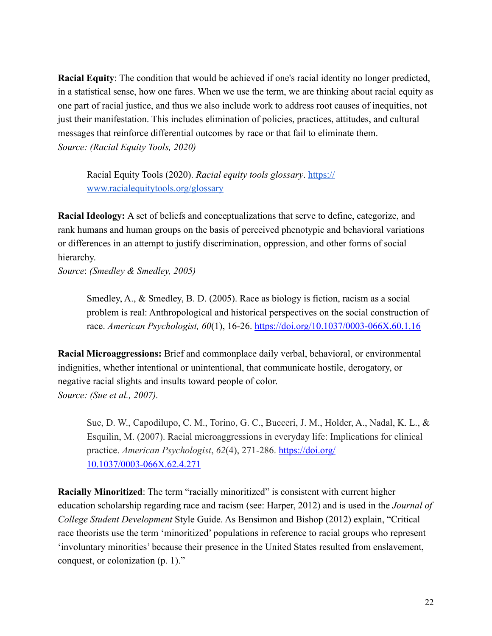**Racial Equity**: The condition that would be achieved if one's racial identity no longer predicted, in a statistical sense, how one fares. When we use the term, we are thinking about racial equity as one part of racial justice, and thus we also include work to address root causes of inequities, not just their manifestation. This includes elimination of policies, practices, attitudes, and cultural messages that reinforce differential outcomes by race or that fail to eliminate them. *Source: (Racial Equity Tools, 2020)*

Racial Equity Tools (2020). *Racial equity tools glossary*. [https://](https://www.racialequitytools.org/glossary) [www.racialequitytools.org/glossary](https://www.racialequitytools.org/glossary)

**Racial Ideology:** A set of beliefs and conceptualizations that serve to define, categorize, and rank humans and human groups on the basis of perceived phenotypic and behavioral variations or differences in an attempt to justify discrimination, oppression, and other forms of social hierarchy.

*Source*: *(Smedley & Smedley, 2005)*

Smedley, A., & Smedley, B. D. (2005). Race as biology is fiction, racism as a social problem is real: Anthropological and historical perspectives on the social construction of race. *American Psychologist, 60*(1), 16-26. <https://doi.org/10.1037/0003-066X.60.1.16>

**Racial Microaggressions:** Brief and commonplace daily verbal, behavioral, or environmental indignities, whether intentional or unintentional, that communicate hostile, derogatory, or negative racial slights and insults toward people of color. *Source: (Sue et al., 2007).*

Sue, D. W., Capodilupo, C. M., Torino, G. C., Bucceri, J. M., Holder, A., Nadal, K. L., & Esquilin, M. (2007). Racial microaggressions in everyday life: Implications for clinical practice. *American Psychologist*, *62*(4), 271-286. [https://doi.org/](https://doi.org/10.1037/0003-066X.62.4.271) [10.1037/0003-066X.62.4.271](https://doi.org/10.1037/0003-066X.62.4.271)

**Racially Minoritized**: The term "racially minoritized" is consistent with current higher education scholarship regarding race and racism (see: Harper, 2012) and is used in the *Journal of College Student Development* Style Guide. As Bensimon and Bishop (2012) explain, "Critical race theorists use the term 'minoritized' populations in reference to racial groups who represent 'involuntary minorities' because their presence in the United States resulted from enslavement, conquest, or colonization (p. 1)."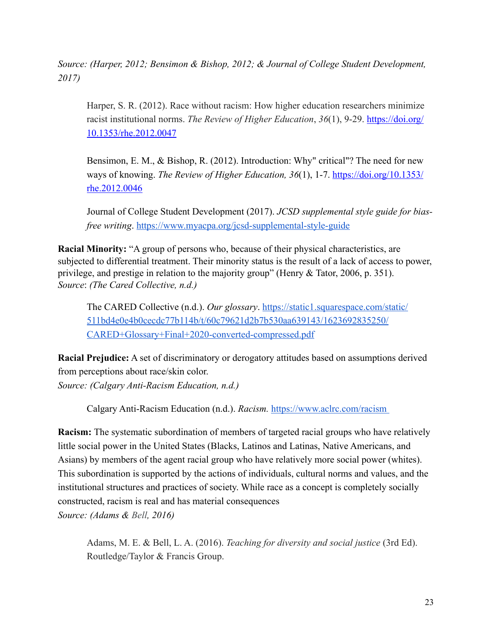*Source: (Harper, 2012; Bensimon & Bishop, 2012; & Journal of College Student Development, 2017)*

Harper, S. R. (2012). Race without racism: How higher education researchers minimize racist institutional norms. *The Review of Higher Education*, *36*(1), 9-29. [https://doi.org/](https://doi.org/10.1353/rhe.2012.0047) [10.1353/rhe.2012.0047](https://doi.org/10.1353/rhe.2012.0047)

Bensimon, E. M., & Bishop, R. (2012). Introduction: Why" critical"? The need for new ways of knowing. *The Review of Higher Education, 36*(1), 1-7. [https://doi.org/10.1353/](https://doi.org/10.1353/rhe.2012.0046) [rhe.2012.0046](https://doi.org/10.1353/rhe.2012.0046)

Journal of College Student Development (2017). *JCSD supplemental style guide for biasfree writing*. <https://www.myacpa.org/jcsd-supplemental-style-guide>

**Racial Minority:** "A group of persons who, because of their physical characteristics, are subjected to differential treatment. Their minority status is the result of a lack of access to power, privilege, and prestige in relation to the majority group" (Henry & Tator, 2006, p. 351). *Source*: *(The Cared Collective, n.d.)*

The CARED Collective (n.d.). *Our glossary*[. https://static1.squarespace.com/static/](https://static1.squarespace.com/static/511bd4e0e4b0cecdc77b114b/t/60c79621d2b7b530aa639143/1623692835250/CARED+Glossary+Final+2020-converted-compressed.pdf) [511bd4e0e4b0cecdc77b114b/t/60c79621d2b7b530aa639143/1623692835250/](https://static1.squarespace.com/static/511bd4e0e4b0cecdc77b114b/t/60c79621d2b7b530aa639143/1623692835250/CARED+Glossary+Final+2020-converted-compressed.pdf) [CARED+Glossary+Final+2020-converted-compressed.pdf](https://static1.squarespace.com/static/511bd4e0e4b0cecdc77b114b/t/60c79621d2b7b530aa639143/1623692835250/CARED+Glossary+Final+2020-converted-compressed.pdf)

**Racial Prejudice:** A set of discriminatory or derogatory attitudes based on assumptions derived from perceptions about race/skin color. *Source: (Calgary Anti-Racism Education, n.d.)*

Calgary Anti-Racism Education (n.d.). *Racism.* <https://www.aclrc.com/racism>

**Racism:** The systematic subordination of members of targeted racial groups who have relatively little social power in the United States (Blacks, Latinos and Latinas, Native Americans, and Asians) by members of the agent racial group who have relatively more social power (whites). This subordination is supported by the actions of individuals, cultural norms and values, and the institutional structures and practices of society. While race as a concept is completely socially constructed, racism is real and has material consequences *Source: (Adams & Bell, 2016)*

Adams, M. E. & Bell, L. A. (2016). *Teaching for diversity and social justice* (3rd Ed). Routledge/Taylor & Francis Group.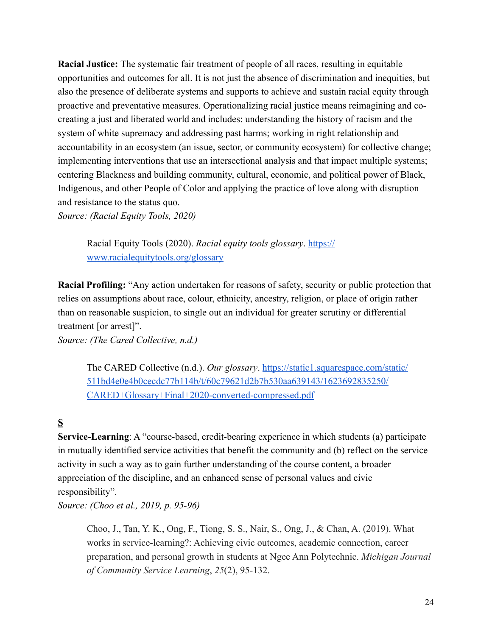**Racial Justice:** The systematic fair treatment of people of all races, resulting in equitable opportunities and outcomes for all. It is not just the absence of discrimination and inequities, but also the presence of deliberate systems and supports to achieve and sustain racial equity through proactive and preventative measures. Operationalizing racial justice means reimagining and cocreating a just and liberated world and includes: understanding the history of racism and the system of white supremacy and addressing past harms; working in right relationship and accountability in an ecosystem (an issue, sector, or community ecosystem) for collective change; implementing interventions that use an intersectional analysis and that impact multiple systems; centering Blackness and building community, cultural, economic, and political power of Black, Indigenous, and other People of Color and applying the practice of love along with disruption and resistance to the status quo.

*Source: (Racial Equity Tools, 2020)*

Racial Equity Tools (2020). *Racial equity tools glossary*. [https://](https://www.racialequitytools.org/glossary) [www.racialequitytools.org/glossary](https://www.racialequitytools.org/glossary)

**Racial Profiling:** "Any action undertaken for reasons of safety, security or public protection that relies on assumptions about race, colour, ethnicity, ancestry, religion, or place of origin rather than on reasonable suspicion, to single out an individual for greater scrutiny or differential treatment [or arrest]".

*Source: (The Cared Collective, n.d.)* 

The CARED Collective (n.d.). *Our glossary*. [https://static1.squarespace.com/static/](https://static1.squarespace.com/static/511bd4e0e4b0cecdc77b114b/t/60c79621d2b7b530aa639143/1623692835250/CARED+Glossary+Final+2020-converted-compressed.pdf) [511bd4e0e4b0cecdc77b114b/t/60c79621d2b7b530aa639143/1623692835250/](https://static1.squarespace.com/static/511bd4e0e4b0cecdc77b114b/t/60c79621d2b7b530aa639143/1623692835250/CARED+Glossary+Final+2020-converted-compressed.pdf) [CARED+Glossary+Final+2020-converted-compressed.pdf](https://static1.squarespace.com/static/511bd4e0e4b0cecdc77b114b/t/60c79621d2b7b530aa639143/1623692835250/CARED+Glossary+Final+2020-converted-compressed.pdf)

## **S**

**Service-Learning**: A "course-based, credit-bearing experience in which students (a) participate in mutually identified service activities that benefit the community and (b) reflect on the service activity in such a way as to gain further understanding of the course content, a broader appreciation of the discipline, and an enhanced sense of personal values and civic responsibility".

*Source: (Choo et al., 2019, p. 95-96)* 

Choo, J., Tan, Y. K., Ong, F., Tiong, S. S., Nair, S., Ong, J., & Chan, A. (2019). What works in service-learning?: Achieving civic outcomes, academic connection, career preparation, and personal growth in students at Ngee Ann Polytechnic. *Michigan Journal of Community Service Learning*, *25*(2), 95-132.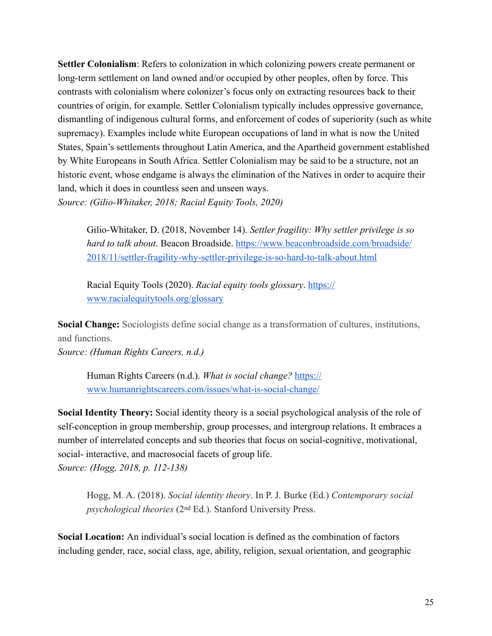**Settler Colonialism**: Refers to colonization in which colonizing powers create permanent or long-term settlement on land owned and/or occupied by other peoples, often by force. This contrasts with colonialism where colonizer's focus only on extracting resources back to their countries of origin, for example. Settler Colonialism typically includes oppressive governance, dismantling of indigenous cultural forms, and enforcement of codes of superiority (such as white supremacy). Examples include white European occupations of land in what is now the United States, Spain's settlements throughout Latin America, and the Apartheid government established by White Europeans in South Africa. Settler Colonialism may be said to be a structure, not an historic event, whose endgame is always the elimination of the Natives in order to acquire their land, which it does in countless seen and unseen ways. *Source: (Gilio-Whitaker, 2018; Racial Equity Tools, 2020)*

Gilio-Whitaker, D. (2018, November 14). *Settler fragility: Why settler privilege is so hard to talk about*. Beacon Broadside. [https://www.beaconbroadside.com/broadside/](https://www.beaconbroadside.com/broadside/2018/11/settler-fragility-why-settler-privilege-is-so-hard-to-talk-about.html) [2018/11/settler-fragility-why-settler-privilege-is-so-hard-to-talk-about.html](https://www.beaconbroadside.com/broadside/2018/11/settler-fragility-why-settler-privilege-is-so-hard-to-talk-about.html)

Racial Equity Tools (2020). *Racial equity tools glossary*. [https://](https://www.racialequitytools.org/glossary) [www.racialequitytools.org/glossary](https://www.racialequitytools.org/glossary)

**Social Change:** Sociologists define social change as a transformation of cultures, institutions, and functions.

*Source: (Human Rights Careers, n.d.)*

[Human Rights Careers \(n.d.\).](https://www.humanrightscareers.com/issues/what-is-social-change/) *What is social change?* [https://](https://www.humanrightscareers.com/issues/what-is-social-change/) [www.humanrightscareers.com/issues/what-is-social-change/](https://www.humanrightscareers.com/issues/what-is-social-change/)

**Social Identity Theory:** Social identity theory is a social psychological analysis of the role of self-conception in group membership, group processes, and intergroup relations. It embraces a number of interrelated concepts and sub theories that focus on social-cognitive, motivational, social- interactive, and macrosocial facets of group life. *Source: (Hogg, 2018, p. 112-138)*

Hogg, M. A. (2018). *Social identity theory*. In P. J. Burke (Ed.) *Contemporary social psychological theories* (2nd Ed.). Stanford University Press.

**Social Location:** An individual's social location is defined as the combination of factors including gender, race, social class, age, ability, religion, sexual orientation, and geographic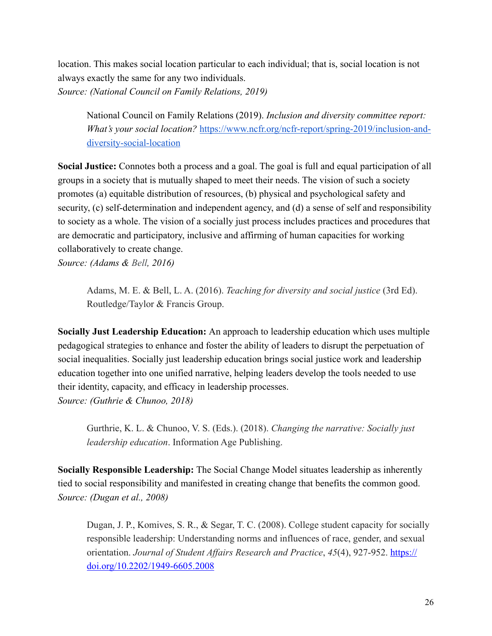location. This makes social location particular to each individual; that is, social location is not always exactly the same for any two individuals. *Source: (National Council on Family Relations, 2019)* 

National Council on Family Relations (2019). *Inclusion and diversity committee report: What's your social location?* [https://www.ncfr.org/ncfr-report/spring-2019/inclusion-and](https://www.ncfr.org/ncfr-report/spring-2019/inclusion-and-diversity-social-location)[diversity-social-location](https://www.ncfr.org/ncfr-report/spring-2019/inclusion-and-diversity-social-location) 

**Social Justice:** Connotes both a process and a goal. The goal is full and equal participation of all groups in a society that is mutually shaped to meet their needs. The vision of such a society promotes (a) equitable distribution of resources, (b) physical and psychological safety and security, (c) self-determination and independent agency, and (d) a sense of self and responsibility to society as a whole. The vision of a socially just process includes practices and procedures that are democratic and participatory, inclusive and affirming of human capacities for working collaboratively to create change.

*Source: (Adams & Bell, 2016)*

Adams, M. E. & Bell, L. A. (2016). *Teaching for diversity and social justice* (3rd Ed). Routledge/Taylor & Francis Group.

**Socially Just Leadership Education:** An approach to leadership education which uses multiple pedagogical strategies to enhance and foster the ability of leaders to disrupt the perpetuation of social inequalities. Socially just leadership education brings social justice work and leadership education together into one unified narrative, helping leaders develop the tools needed to use their identity, capacity, and efficacy in leadership processes. *Source: (Guthrie & Chunoo, 2018)*

Gurthrie, K. L. & Chunoo, V. S. (Eds.). (2018). *Changing the narrative: Socially just leadership education*. Information Age Publishing.

**Socially Responsible Leadership:** The Social Change Model situates leadership as inherently tied to social responsibility and manifested in creating change that benefits the common good. *Source: (Dugan et al., 2008)* 

Dugan, J. P., Komives, S. R., & Segar, T. C. (2008). College student capacity for socially responsible leadership: Understanding norms and influences of race, gender, and sexual orientation. *Journal of Student Affairs Research and Practice*, *45*(4), 927-952. [https://](https://doi.org/10.2202/1949-6605.2008) [doi.org/10.2202/1949-6605.2008](https://doi.org/10.2202/1949-6605.2008)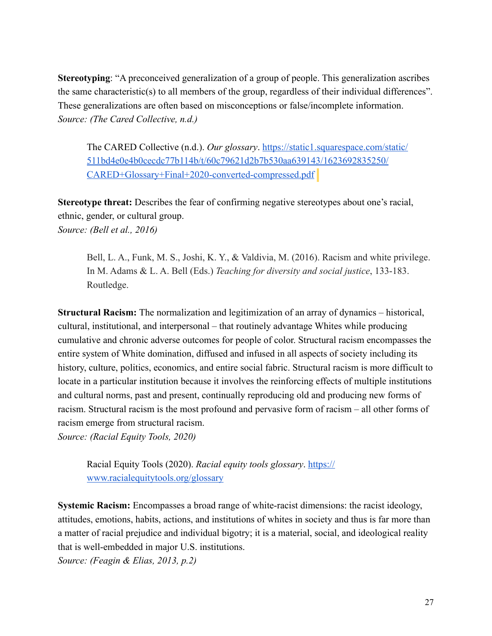**Stereotyping**: "A preconceived generalization of a group of people. This generalization ascribes the same characteristic(s) to all members of the group, regardless of their individual differences". These generalizations are often based on misconceptions or false/incomplete information. *Source: (The Cared Collective, n.d.)* 

The CARED Collective (n.d.). *Our glossary*. [https://static1.squarespace.com/static/](https://static1.squarespace.com/static/511bd4e0e4b0cecdc77b114b/t/60c79621d2b7b530aa639143/1623692835250/CARED+Glossary+Final+2020-converted-compressed.pdf) [511bd4e0e4b0cecdc77b114b/t/60c79621d2b7b530aa639143/1623692835250/](https://static1.squarespace.com/static/511bd4e0e4b0cecdc77b114b/t/60c79621d2b7b530aa639143/1623692835250/CARED+Glossary+Final+2020-converted-compressed.pdf) [CARED+Glossary+Final+2020-converted-compressed.pdf](https://static1.squarespace.com/static/511bd4e0e4b0cecdc77b114b/t/60c79621d2b7b530aa639143/1623692835250/CARED+Glossary+Final+2020-converted-compressed.pdf)

**Stereotype threat:** Describes the fear of confirming negative stereotypes about one's racial, ethnic, gender, or cultural group. *Source: (Bell et al., 2016)*

Bell, L. A., Funk, M. S., Joshi, K. Y., & Valdivia, M. (2016). Racism and white privilege. In M. Adams & L. A. Bell (Eds.) *Teaching for diversity and social justice*, 133-183. Routledge.

**Structural Racism:** The normalization and legitimization of an array of dynamics – historical, cultural, institutional, and interpersonal – that routinely advantage Whites while producing cumulative and chronic adverse outcomes for people of color. Structural racism encompasses the entire system of White domination, diffused and infused in all aspects of society including its history, culture, politics, economics, and entire social fabric. Structural racism is more difficult to locate in a particular institution because it involves the reinforcing effects of multiple institutions and cultural norms, past and present, continually reproducing old and producing new forms of racism. Structural racism is the most profound and pervasive form of racism – all other forms of racism emerge from structural racism.

*Source: (Racial Equity Tools, 2020)*

Racial Equity Tools (2020). *Racial equity tools glossary*. [https://](https://www.racialequitytools.org/glossary) [www.racialequitytools.org/glossary](https://www.racialequitytools.org/glossary)

**Systemic Racism:** Encompasses a broad range of white-racist dimensions: the racist ideology, attitudes, emotions, habits, actions, and institutions of whites in society and thus is far more than a matter of racial prejudice and individual bigotry; it is a material, social, and ideological reality that is well-embedded in major U.S. institutions.

*Source: (Feagin & Elias, 2013, p.2)*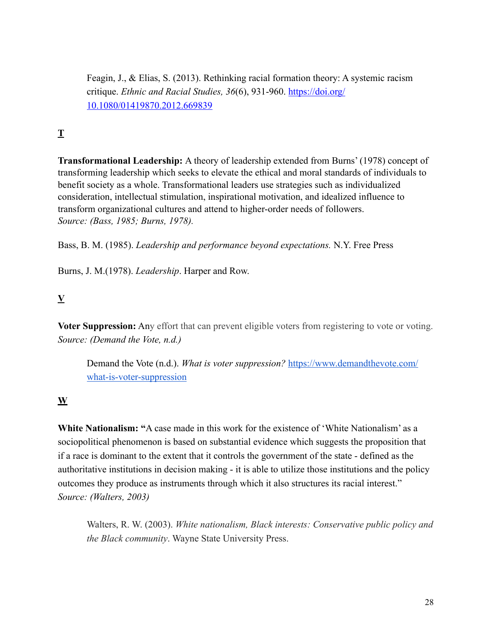Feagin, J., & Elias, S. (2013). Rethinking racial formation theory: A systemic racism critique. *Ethnic and Racial Studies, 36*(6), 931-960. [https://doi.org/](https://doi.org/10.1080/01419870.2012.669839) [10.1080/01419870.2012.669839](https://doi.org/10.1080/01419870.2012.669839)

# **T**

**Transformational Leadership:** A theory of leadership extended from Burns' (1978) concept of transforming leadership which seeks to elevate the ethical and moral standards of individuals to benefit society as a whole. Transformational leaders use strategies such as individualized consideration, intellectual stimulation, inspirational motivation, and idealized influence to transform organizational cultures and attend to higher-order needs of followers. *Source: (Bass, 1985; Burns, 1978).*

Bass, B. M. (1985). *Leadership and performance beyond expectations.* N.Y. Free Press

Burns, J. M.(1978). *Leadership*. Harper and Row.

## **V**

**Voter Suppression:** Any effort that can prevent eligible voters from registering to vote or voting. *Source: (Demand the Vote, n.d.)*

Demand the Vote (n.d.). *What is voter suppression?* [https://www.demandthevote.com/](https://www.demandthevote.com/what-is-voter-suppression) [what-is-voter-suppression](https://www.demandthevote.com/what-is-voter-suppression)

## **W**

**White Nationalism: "**A case made in this work for the existence of 'White Nationalism' as a sociopolitical phenomenon is based on substantial evidence which suggests the proposition that if a race is dominant to the extent that it controls the government of the state - defined as the authoritative institutions in decision making - it is able to utilize those institutions and the policy outcomes they produce as instruments through which it also structures its racial interest." *Source: (Walters, 2003)* 

Walters, R. W. (2003). *White nationalism, Black interests: Conservative public policy and the Black community*. Wayne State University Press.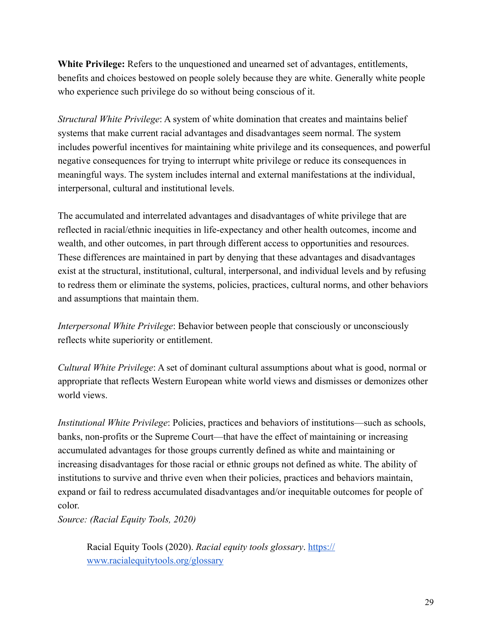**White Privilege:** Refers to the unquestioned and unearned set of advantages, entitlements, benefits and choices bestowed on people solely because they are white. Generally white people who experience such privilege do so without being conscious of it.

*Structural White Privilege*: A system of white domination that creates and maintains belief systems that make current racial advantages and disadvantages seem normal. The system includes powerful incentives for maintaining white privilege and its consequences, and powerful negative consequences for trying to interrupt white privilege or reduce its consequences in meaningful ways. The system includes internal and external manifestations at the individual, interpersonal, cultural and institutional levels.

The accumulated and interrelated advantages and disadvantages of white privilege that are reflected in racial/ethnic inequities in life-expectancy and other health outcomes, income and wealth, and other outcomes, in part through different access to opportunities and resources. These differences are maintained in part by denying that these advantages and disadvantages exist at the structural, institutional, cultural, interpersonal, and individual levels and by refusing to redress them or eliminate the systems, policies, practices, cultural norms, and other behaviors and assumptions that maintain them.

*Interpersonal White Privilege*: Behavior between people that consciously or unconsciously reflects white superiority or entitlement.

*Cultural White Privilege*: A set of dominant cultural assumptions about what is good, normal or appropriate that reflects Western European white world views and dismisses or demonizes other world views.

*Institutional White Privilege*: Policies, practices and behaviors of institutions—such as schools, banks, non-profits or the Supreme Court—that have the effect of maintaining or increasing accumulated advantages for those groups currently defined as white and maintaining or increasing disadvantages for those racial or ethnic groups not defined as white. The ability of institutions to survive and thrive even when their policies, practices and behaviors maintain, expand or fail to redress accumulated disadvantages and/or inequitable outcomes for people of color.

*Source: (Racial Equity Tools, 2020)*

Racial Equity Tools (2020). *Racial equity tools glossary*. [https://](https://www.racialequitytools.org/glossary) [www.racialequitytools.org/glossary](https://www.racialequitytools.org/glossary)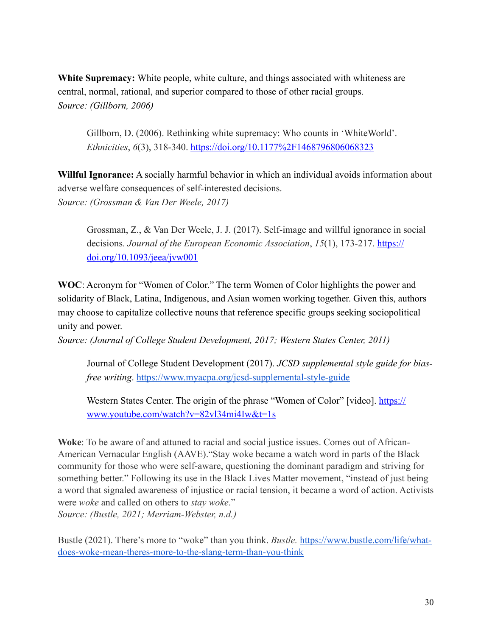**White Supremacy:** White people, white culture, and things associated with whiteness are central, normal, rational, and superior compared to those of other racial groups. *Source: (Gillborn, 2006)*

Gillborn, D. (2006). Rethinking white supremacy: Who counts in 'WhiteWorld'. *Ethnicities*, *6*(3), 318-340. [https://doi.org/10.1177%2F1468796806068323](https://doi.org/10.1177%252F1468796806068323)

**Willful Ignorance:** A socially harmful behavior in which an individual avoids information about adverse welfare consequences of self-interested decisions. *Source: (Grossman & Van Der Weele, 2017)* 

Grossman, Z., & Van Der Weele, J. J. (2017). Self-image and willful ignorance in social decisions. *Journal of the European Economic Association*, *15*(1), 173-217. [https://](https://doi.org/10.1093/jeea/jvw001) [doi.org/10.1093/jeea/jvw001](https://doi.org/10.1093/jeea/jvw001)

**WOC**: Acronym for "Women of Color." The term Women of Color highlights the power and solidarity of Black, Latina, Indigenous, and Asian women working together. Given this, authors may choose to capitalize collective nouns that reference specific groups seeking sociopolitical unity and power.

*Source: (Journal of College Student Development, 2017; Western States Center, 2011)*

Journal of College Student Development (2017). *JCSD supplemental style guide for biasfree writing*. <https://www.myacpa.org/jcsd-supplemental-style-guide>

Western States Center. The origin of the phrase "Women of Color" [video]. [https://](https://www.youtube.com/watch?v=82vl34mi4Iw&t=1s) [www.youtube.com/watch?v=82vl34mi4Iw&t=1s](https://www.youtube.com/watch?v=82vl34mi4Iw&t=1s)

**Woke**: To be aware of and attuned to racial and social justice issues. Comes out of African-American Vernacular English (AAVE)."Stay woke became a watch word in parts of the Black community for those who were self-aware, questioning the dominant paradigm and striving for something better." Following its use in the Black Lives Matter movement, "instead of just being a word that signaled awareness of injustice or racial tension, it became a word of action. Activists were *woke* and called on others to *stay woke*." *Source: (Bustle, 2021; Merriam-Webster, n.d.)*

Bustle (2021). There's more to "woke" than you think. *Bustle.* [https://www.bustle.com/life/what](https://www.bustle.com/life/what-does-woke-mean-theres-more-to-the-slang-term-than-you-think)[does-woke-mean-theres-more-to-the-slang-term-than-you-think](https://www.bustle.com/life/what-does-woke-mean-theres-more-to-the-slang-term-than-you-think)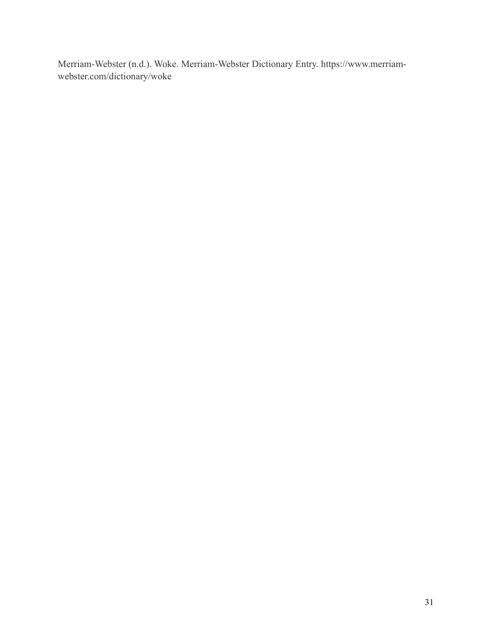Merriam-Webster (n.d.). Woke. Merriam-Webster Dictionary Entry. https://www.merriamwebster.com/dictionary/woke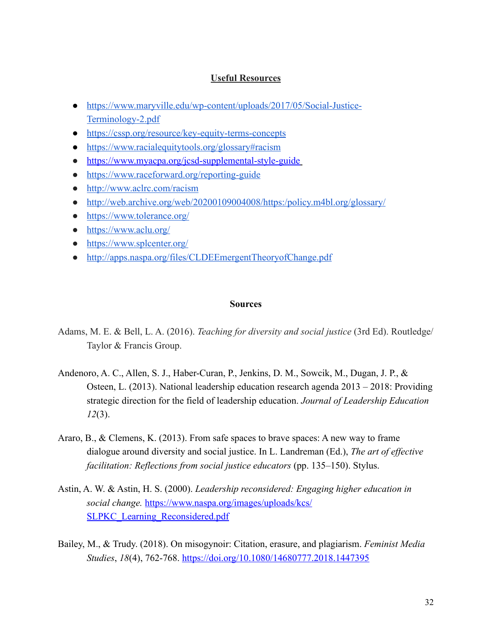#### **Useful Resources**

- [https://www.maryville.edu/wp-content/uploads/2017/05/Social-Justice-](https://www.maryville.edu/wp-content/uploads/2017/05/Social-Justice-Terminology-2.pdf)[Terminology-2.pdf](https://www.maryville.edu/wp-content/uploads/2017/05/Social-Justice-Terminology-2.pdf)
- [https://cssp.org/resource/key-equity-terms-concepts](https://cssp.org/resource/key-equity-terms-concepts/)
- <https://www.racialequitytools.org/glossary#racism>
- <https://www.myacpa.org/jcsd-supplemental-style-guide>
- <https://www.raceforward.org/reporting-guide>
- <http://www.aclrc.com/racism>
- <http://web.archive.org/web/20200109004008/https:/policy.m4bl.org/glossary/>
- <https://www.tolerance.org/>
- <https://www.aclu.org/>
- <https://www.splcenter.org/>
- <http://apps.naspa.org/files/CLDEEmergentTheoryofChange.pdf>

#### **Sources**

- Adams, M. E. & Bell, L. A. (2016). *Teaching for diversity and social justice* (3rd Ed). Routledge/ Taylor & Francis Group.
- Andenoro, A. C., Allen, S. J., Haber-Curan, P., Jenkins, D. M., Sowcik, M., Dugan, J. P., & Osteen, L. (2013). National leadership education research agenda 2013 – 2018: Providing strategic direction for the field of leadership education. *Journal of Leadership Education 12*(3).
- Araro, B., & Clemens, K. (2013). From safe spaces to brave spaces: A new way to frame dialogue around diversity and social justice. In L. Landreman (Ed.), *The art of effective facilitation: Reflections from social justice educators* (pp. 135–150). Stylus.
- Astin, A. W. & Astin, H. S. (2000). *Leadership reconsidered: Engaging higher education in social change.* [https://www.naspa.org/images/uploads/kcs/](https://www.naspa.org/images/uploads/kcs/SLPKC_Learning_Reconsidered.pdf) SLPKC Learning Reconsidered.pdf
- Bailey, M., & Trudy. (2018). On misogynoir: Citation, erasure, and plagiarism. *Feminist Media Studies*, *18*(4), 762-768. <https://doi.org/10.1080/14680777.2018.1447395>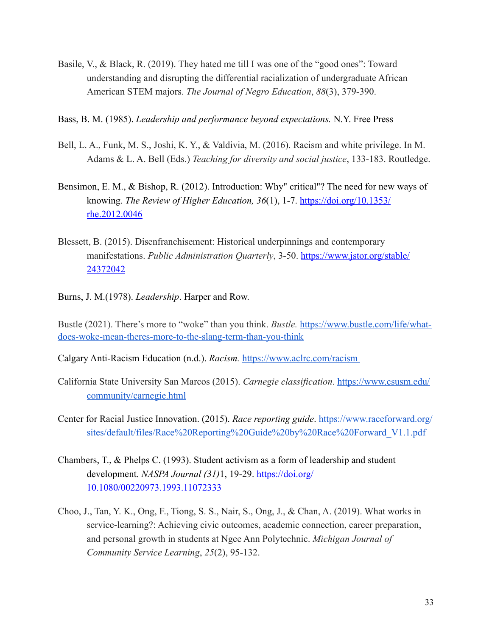- Basile, V., & Black, R. (2019). They hated me till I was one of the "good ones": Toward understanding and disrupting the differential racialization of undergraduate African American STEM majors. *The Journal of Negro Education*, *88*(3), 379-390.
- Bass, B. M. (1985). *Leadership and performance beyond expectations.* N.Y. Free Press
- Bell, L. A., Funk, M. S., Joshi, K. Y., & Valdivia, M. (2016). Racism and white privilege. In M. Adams & L. A. Bell (Eds.) *Teaching for diversity and social justice*, 133-183. Routledge.
- Bensimon, E. M., & Bishop, R. (2012). Introduction: Why" critical"? The need for new ways of knowing. *The Review of Higher Education, 36*(1), 1-7. [https://doi.org/10.1353/](https://doi.org/10.1353/rhe.2012.0046) [rhe.2012.0046](https://doi.org/10.1353/rhe.2012.0046)
- Blessett, B. (2015). Disenfranchisement: Historical underpinnings and contemporary manifestations. *Public Administration Quarterly*, 3-50. [https://www.jstor.org/stable/](https://www.jstor.org/stable/24372042) [24372042](https://www.jstor.org/stable/24372042)
- Burns, J. M.(1978). *Leadership*. Harper and Row.

Bustle (2021). There's more to "woke" than you think. *Bustle.* [https://www.bustle.com/life/what](https://www.bustle.com/life/what-does-woke-mean-theres-more-to-the-slang-term-than-you-think)[does-woke-mean-theres-more-to-the-slang-term-than-you-think](https://www.bustle.com/life/what-does-woke-mean-theres-more-to-the-slang-term-than-you-think)

Calgary Anti-Racism Education (n.d.). *Racism.* <https://www.aclrc.com/racism>

- California State University San Marcos (2015). *Carnegie classification*. [https://www.csusm.edu/](https://www.csusm.edu/community/carnegie.html) [community/carnegie.html](https://www.csusm.edu/community/carnegie.html)
- Center for Racial Justice Innovation. (2015). *Race reporting guide*. [https://www.raceforward.org/](https://www.raceforward.org/sites/default/files/Race%2520Reporting%2520Guide%2520by%2520Race%2520Forward_V1.1.pdf) [sites/default/files/Race%20Reporting%20Guide%20by%20Race%20Forward\\_V1.1.pdf](https://www.raceforward.org/sites/default/files/Race%2520Reporting%2520Guide%2520by%2520Race%2520Forward_V1.1.pdf)
- Chambers, T., & Phelps C. (1993). Student activism as a form of leadership and student development. *NASPA Journal (31)*1, 19-29. [https://doi.org/](https://doi.org/10.1080/00220973.1993.11072333) [10.1080/00220973.1993.11072333](https://doi.org/10.1080/00220973.1993.11072333)
- Choo, J., Tan, Y. K., Ong, F., Tiong, S. S., Nair, S., Ong, J., & Chan, A. (2019). What works in service-learning?: Achieving civic outcomes, academic connection, career preparation, and personal growth in students at Ngee Ann Polytechnic. *Michigan Journal of Community Service Learning*, *25*(2), 95-132.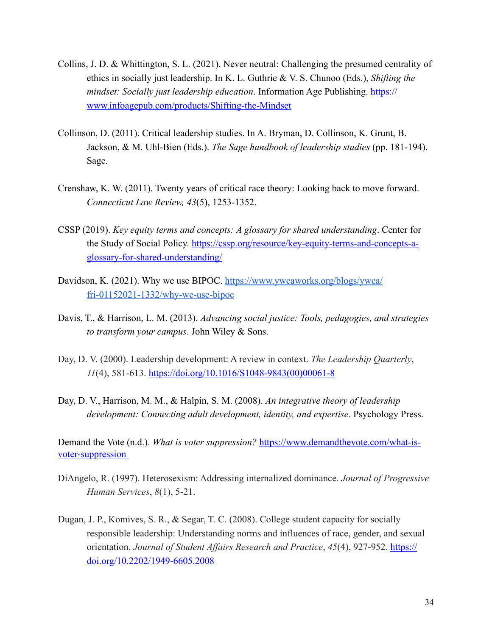- Collins, J. D. & Whittington, S. L. (2021). Never neutral: Challenging the presumed centrality of ethics in socially just leadership. In K. L. Guthrie & V. S. Chunoo (Eds.), *Shifting the mindset: Socially just leadership education.* Information Age Publishing. [https://](https://www.infoagepub.com/products/Shifting-the-Mindset) [www.infoagepub.com/products/Shifting-the-Mindset](https://www.infoagepub.com/products/Shifting-the-Mindset)
- Collinson, D. (2011). Critical leadership studies. In A. Bryman, D. Collinson, K. Grunt, B. Jackson, & M. Uhl-Bien (Eds.). *The Sage handbook of leadership studies* (pp. 181-194). Sage.
- Crenshaw, K. W. (2011). Twenty years of critical race theory: Looking back to move forward. *Connecticut Law Review, 43*(5), 1253-1352.
- CSSP (2019). *Key equity terms and concepts: A glossary for shared understanding*. Center for the Study of Social Policy. [https://cssp.org/resource/key-equity-terms-and-concepts-a](https://cssp.org/resource/key-equity-terms-and-concepts-a-glossary-for-shared-understanding/)[glossary-for-shared-understanding/](https://cssp.org/resource/key-equity-terms-and-concepts-a-glossary-for-shared-understanding/)
- Davids[on, K. \(2021\). Why we use BIPOC. https://www.ywcaworks.org/blogs/ywca/](https://www.ywcaworks.org/blogs/ywca/fri-01152021-1332/why-we-use-bipoc) [fri-01152021-1332/why-we-use-bipoc](https://www.ywcaworks.org/blogs/ywca/fri-01152021-1332/why-we-use-bipoc)
- Davis, T., & Harrison, L. M. (2013). *Advancing social justice: Tools, pedagogies, and strategies to transform your campus*. John Wiley & Sons.
- Day, D. V. (2000). Leadership development: A review in context. *The Leadership Quarterly*, *11*(4), 581-613. [https://doi.org/10.1016/S1048-9843\(00\)00061-8](https://doi.org/10.1016/S1048-9843(00)00061-8)
- Day, D. V., Harrison, M. M., & Halpin, S. M. (2008). *An integrative theory of leadership development: Connecting adult development, identity, and expertise*. Psychology Press.

Demand the Vote (n.d.). *What is voter suppression?* [https://www.demandthevote.com/what-is](https://www.demandthevote.com/what-is-voter-suppression%2520)[voter-suppression](https://www.demandthevote.com/what-is-voter-suppression%2520)

- DiAngelo, R. (1997). Heterosexism: Addressing internalized dominance. *Journal of Progressive Human Services*, *8*(1), 5-21.
- Dugan, J. P., Komives, S. R., & Segar, T. C. (2008). College student capacity for socially responsible leadership: Understanding norms and influences of race, gender, and sexual orientation. *Journal of Student Affairs Research and Practice*, 45(4), 927-952. [https://](https://doi.org/10.2202/1949-6605.2008) [doi.org/10.2202/1949-6605.2008](https://doi.org/10.2202/1949-6605.2008)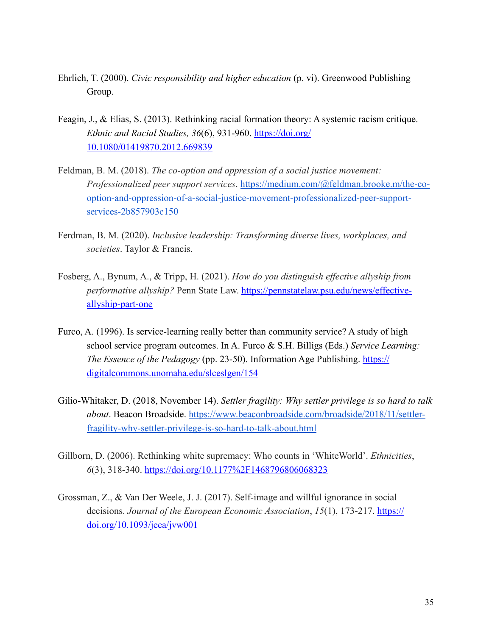- Ehrlich, T. (2000). *Civic responsibility and higher education* (p. vi). Greenwood Publishing Group.
- Feagin, J., & Elias, S. (2013). Rethinking racial formation theory: A systemic racism critique. *Ethnic and Racial Studies, 36*(6), 931-960. [https://doi.org/](https://doi.org/10.1080/01419870.2012.669839) [10.1080/01419870.2012.669839](https://doi.org/10.1080/01419870.2012.669839)
- Feldman, B. M. (2018). *The co-option and oppression of a social justice movement: Professionalized peer support services*. [https://medium.com/@feldman.brooke.m/the-co](https://medium.com/@feldman.brooke.m/the-co-option-and-oppression-of-a-social-justice-movement-professionalized-peer-support-services-2b857903c150)[option-and-oppression-of-a-social-justice-movement-professionalized-peer-support](https://medium.com/@feldman.brooke.m/the-co-option-and-oppression-of-a-social-justice-movement-professionalized-peer-support-services-2b857903c150)[services-2b857903c150](https://medium.com/@feldman.brooke.m/the-co-option-and-oppression-of-a-social-justice-movement-professionalized-peer-support-services-2b857903c150)
- Ferdman, B. M. (2020). *Inclusive leadership: Transforming diverse lives, workplaces, and societies*. Taylor & Francis.
- Fosberg, A., Bynum, A., & Tripp, H. (2021). *How do you distinguish effective allyship from performative allyship?* Penn State Law. [https://pennstatelaw.psu.edu/news/effective](https://pennstatelaw.psu.edu/news/effective-allyship-part-one)[allyship-part-one](https://pennstatelaw.psu.edu/news/effective-allyship-part-one)
- Furco, A. (1996). Is service-learning really better than community service? A study of high school service program outcomes. In A. Furco & S.H. Billigs (Eds.) *Service Learning: The Essence of the Pedagogy* (pp. 23-50). Information Age Publishing. [https://](https://digitalcommons.unomaha.edu/slceslgen/154) [digitalcommons.unomaha.edu/slceslgen/154](https://digitalcommons.unomaha.edu/slceslgen/154)
- Gilio-Whitaker, D. (2018, November 14). *Settler fragility: Why settler privilege is so hard to talk about*. Beacon Broadside. [https://www.beaconbroadside.com/broadside/2018/11/settler](https://www.beaconbroadside.com/broadside/2018/11/settler-fragility-why-settler-privilege-is-so-hard-to-talk-about.html)[fragility-why-settler-privilege-is-so-hard-to-talk-about.html](https://www.beaconbroadside.com/broadside/2018/11/settler-fragility-why-settler-privilege-is-so-hard-to-talk-about.html)
- Gillborn, D. (2006). Rethinking white supremacy: Who counts in 'WhiteWorld'. *Ethnicities*, *6*(3), 318-340. [https://doi.org/10.1177%2F1468796806068323](https://doi.org/10.1177%252F1468796806068323)
- Grossman, Z., & Van Der Weele, J. J. (2017). Self-image and willful ignorance in social decisions. *Journal of the European Economic Association*, 15(1), 173-217. [https://](https://doi.org/10.1093/jeea/jvw001) [doi.org/10.1093/jeea/jvw001](https://doi.org/10.1093/jeea/jvw001)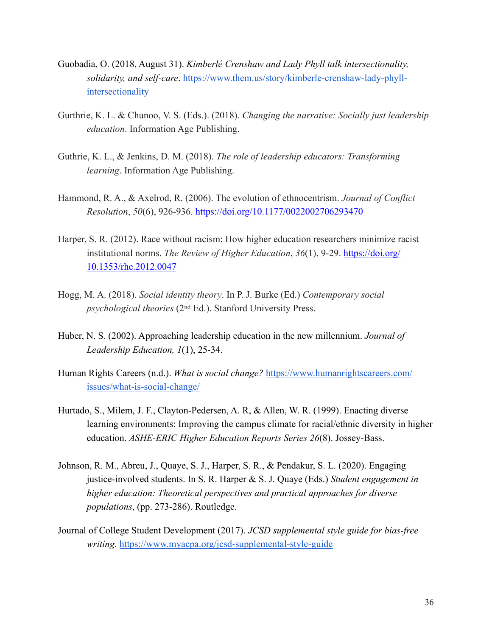- Guobadia, O. (2018, August 31). *Kimberlé Crenshaw and Lady Phyll talk intersectionality, solidarity, and self-care*. [https://www.them.us/story/kimberle-crenshaw-lady-phyll](https://www.them.us/story/kimberle-crenshaw-lady-phyll-intersectionality)[intersectionality](https://www.them.us/story/kimberle-crenshaw-lady-phyll-intersectionality)
- Gurthrie, K. L. & Chunoo, V. S. (Eds.). (2018). *Changing the narrative: Socially just leadership education*. Information Age Publishing.
- Guthrie, K. L., & Jenkins, D. M. (2018). *The role of leadership educators: Transforming learning*. Information Age Publishing.
- Hammond, R. A., & Axelrod, R. (2006). The evolution of ethnocentrism. *Journal of Conflict Resolution*, *50*(6), 926-936.<https://doi.org/10.1177/0022002706293470>
- Harper, S. R. (2012). Race without racism: How higher education researchers minimize racist institutional norms. *The Review of Higher Education*, *36*(1), 9-29. [https://doi.org/](https://doi.org/10.1353/rhe.2012.0047) [10.1353/rhe.2012.0047](https://doi.org/10.1353/rhe.2012.0047)
- Hogg, M. A. (2018). *Social identity theory*. In P. J. Burke (Ed.) *Contemporary social psychological theories* (2nd Ed.). Stanford University Press.
- Huber, N. S. (2002). Approaching leadership education in the new millennium. *Journal of Leadership Education, 1*(1), 25-34.
- Human Rights Careers (n.d.). *What is social change?* [https://www.humanrightscareers.com/](https://www.humanrightscareers.com/issues/what-is-social-change/) [issues/what-is-social-change/](https://www.humanrightscareers.com/issues/what-is-social-change/)
- Hurtado, S., Milem, J. F., Clayton-Pedersen, A. R, & Allen, W. R. (1999). Enacting diverse learning environments: Improving the campus climate for racial/ethnic diversity in higher education. *ASHE-ERIC Higher Education Reports Series 26*(8). Jossey-Bass.
- Johnson, R. M., Abreu, J., Quaye, S. J., Harper, S. R., & Pendakur, S. L. (2020). Engaging justice-involved students. In S. R. Harper & S. J. Quaye (Eds.) *Student engagement in higher education: Theoretical perspectives and practical approaches for diverse populations*, (pp. 273-286). Routledge.
- Journal of College Student Development (2017). *JCSD supplemental style guide for bias-free writing*. <https://www.myacpa.org/jcsd-supplemental-style-guide>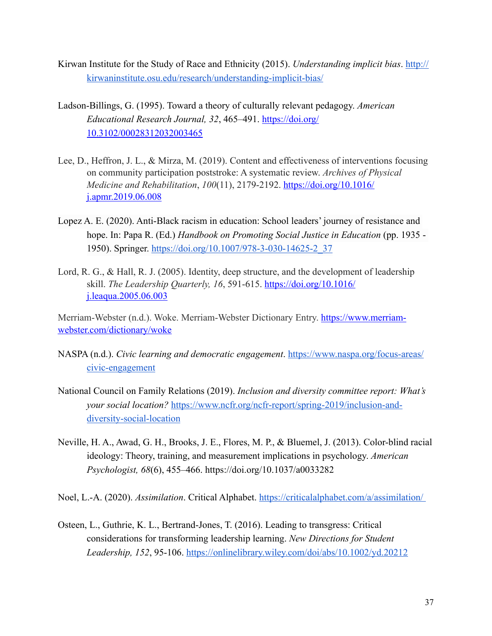- Kirwan Institute for the Study of Race and Ethnicity (2015). *Understanding implicit bias*. [http://](http://kirwaninstitute.osu.edu/research/understanding-implicit-bias/) [kirwaninstitute.osu.edu/research/understanding-implicit-bias/](http://kirwaninstitute.osu.edu/research/understanding-implicit-bias/)
- Ladson-Billings, G. (1995). Toward a theory of culturally relevant pedagogy. *American Educational Research Journal, 32*, 465–491. [https://doi.org/](https://doi.org/10.3102/00028312032003465) [10.3102/00028312032003465](https://doi.org/10.3102/00028312032003465)
- Lee, D., Heffron, J. L., & Mirza, M. (2019). Content and effectiveness of interventions focusing on community participation poststroke: A systematic review. *Archives of Physical Medicine and Rehabilitation*, *100*(11), 2179-2192. [https://doi.org/10.1016/](https://doi.org/10.1016/j.apmr.2019.06.008) [j.apmr.2019.06.008](https://doi.org/10.1016/j.apmr.2019.06.008)
- Lopez A. E. (2020). Anti-Black racism in education: School leaders' journey of resistance and hope. In: Papa R. (Ed.) *Handbook on Promoting Social Justice in Education* (pp. 1935 -1950). Springer. [https://doi.org/10.1007/978-3-030-14625-2\\_37](https://doi.org/10.1007/978-3-030-14625-2_37)
- Lord, R. G., & Hall, R. J. (2005). Identity, deep structure, and the development of leadership skill. *The Leadership Quarterly, 16, 591-615.* [https://doi.org/10.1016/](https://doi.org/10.1016/j.leaqua.2005.06.003) [j.leaqua.2005.06.003](https://doi.org/10.1016/j.leaqua.2005.06.003)

Merriam-Webster (n.d.). Woke. Merriam-Webster Dictionary Entry. [https://www.merriam](https://www.merriam-webster.com/dictionary/woke)[webster.com/dictionary/woke](https://www.merriam-webster.com/dictionary/woke)

- NASPA (n.d.). *Civic learning and democratic engagement*. [https://www.naspa.org/focus-areas/](https://www.naspa.org/focus-areas/civic-engagement) [civic-engagement](https://www.naspa.org/focus-areas/civic-engagement)
- National Council on Family Relations (2019). *Inclusion and diversity committee report: What's your social location?* [https://www.ncfr.org/ncfr-report/spring-2019/inclusion-and](https://www.ncfr.org/ncfr-report/spring-2019/inclusion-and-diversity-social-location)[diversity-social-location](https://www.ncfr.org/ncfr-report/spring-2019/inclusion-and-diversity-social-location)
- Neville, H. A., Awad, G. H., Brooks, J. E., Flores, M. P., & Bluemel, J. (2013). Color-blind racial ideology: Theory, training, and measurement implications in psychology. *American Psychologist, 68*(6), 455–466. [https://doi.org/10.1037/a0033282](https://psycnet.apa.org/doi/10.1037/a0033282)
- Noel, L.-A. (2020). *Assimilation*. Critical Alphabet. <https://criticalalphabet.com/a/assimilation/>
- Osteen, L., Guthrie, K. L., Bertrand-Jones, T. (2016). Leading to transgress: Critical considerations for transforming leadership learning. *New Directions for Student Leadership, 152*, 95-106. <https://onlinelibrary.wiley.com/doi/abs/10.1002/yd.20212>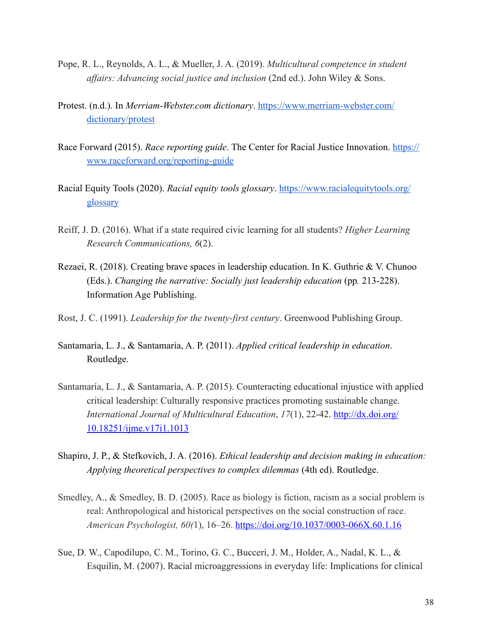- Pope, R. L., Reynolds, A. L., & Mueller, J. A. (2019). *Multicultural competence in student affairs: Advancing social justice and inclusion* (2nd ed.). John Wiley & Sons.
- Protest. (n.d.). In *Merriam-Webster.com dictionary*. [https://www.merriam-webster.com/](https://www.merriam-webster.com/dictionary/protest) [dictionary/protest](https://www.merriam-webster.com/dictionary/protest)
- Race Forward (2015). *Race reporting guide*. The Center for Racial Justice Innovation. [https://](https://www.raceforward.org/reporting-guide) [www.raceforward.org/reporting-guide](https://www.raceforward.org/reporting-guide)
- Racial Equity Tools (2020). *Racial equity tools glossary*. [https://www.racialequitytools.org/](https://www.racialequitytools.org/glossary) [glossary](https://www.racialequitytools.org/glossary)
- Reiff, J. D. (2016). What if a state required civic learning for all students? *Higher Learning Research Communications, 6*(2).
- Rezaei, R. (2018). Creating brave spaces in leadership education. In K. Guthrie & V. Chunoo (Eds.). *Changing the narrative: Socially just leadership education* (pp. 213-228). Information Age Publishing.
- Rost, J. C. (1991). *Leadership for the twenty-first century*. Greenwood Publishing Group.
- Santamaría, L. J., & Santamaría, A. P. (2011). *Applied critical leadership in education*. Routledge.
- Santamaría, L. J., & Santamaría, A. P. (2015). Counteracting educational injustice with applied critical leadership: Culturally responsive practices promoting sustainable change. *International Journal of Multicultural Education*, *17*(1), 22-42. [http://dx.doi.org/](http://dx.doi.org/10.18251/ijme.v17i1.1013) [10.18251/ijme.v17i1.1013](http://dx.doi.org/10.18251/ijme.v17i1.1013)
- Shapiro, J. P., & Stefkovich, J. A. (2016). *Ethical leadership and decision making in education: Applying theoretical perspectives to complex dilemmas* (4th ed). Routledge.
- Smedley, A., & Smedley, B. D. (2005). Race as biology is fiction, racism as a social problem is real: Anthropological and historical perspectives on the social construction of race. *American Psychologist, 60(*1), 16–26. <https://doi.org/10.1037/0003-066X.60.1.16>
- Sue, D. W., Capodilupo, C. M., Torino, G. C., Bucceri, J. M., Holder, A., Nadal, K. L., & Esquilin, M. (2007). Racial microaggressions in everyday life: Implications for clinical